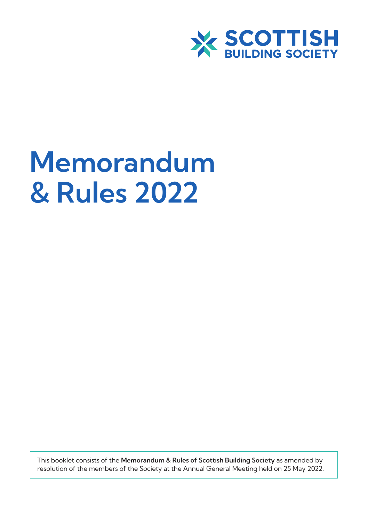

# **Memorandum & Rules 2022**

This booklet consists of the **Memorandum & Rules of Scottish Building Society** as amended by resolution of the members of the Society at the Annual General Meeting held on 25 May 2022.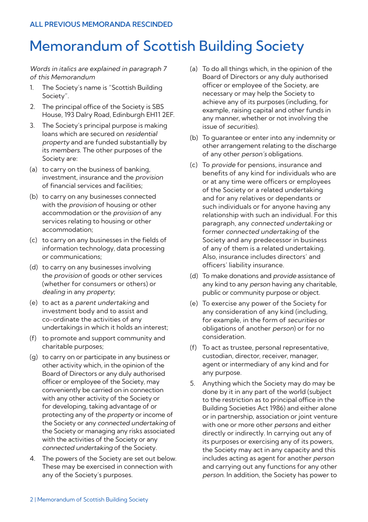# Memorandum of Scottish Building Society

Words in italics are explained in paragraph 7 of this Memorandum

- 1. The Society's name is "Scottish Building Society".
- 2. The principal office of the Society is SBS House, 193 Dalry Road, Edinburgh EH11 2EF.
- 3. The Society's principal purpose is making loans which are secured on residential property and are funded substantially by its members. The other purposes of the Society are:
- (a) to carry on the business of banking, investment, insurance and the provision of financial services and facilities;
- (b) to carry on any businesses connected with the *provision* of housing or other accommodation or the provision of any services relating to housing or other accommodation;
- (c) to carry on any businesses in the fields of information technology, data processing or communications;
- (d) to carry on any businesses involving the provision of goods or other services (whether for consumers or others) or dealing in any property;
- (e) to act as a parent undertaking and investment body and to assist and co-ordinate the activities of any undertakings in which it holds an interest;
- (f) to promote and support community and charitable purposes;
- (g) to carry on or participate in any business or other activity which, in the opinion of the Board of Directors or any duly authorised officer or employee of the Society, may conveniently be carried on in connection with any other activity of the Society or for developing, taking advantage of or protecting any of the property or income of the Society or any connected undertaking of the Society or managing any risks associated with the activities of the Society or any connected undertaking of the Society.
- 4. The powers of the Society are set out below. These may be exercised in connection with any of the Society's purposes.
- (a) To do all things which, in the opinion of the Board of Directors or any duly authorised officer or employee of the Society, are necessary or may help the Society to achieve any of its purposes (including, for example, raising capital and other funds in any manner, whether or not involving the issue of securities).
- (b) To guarantee or enter into any indemnity or other arrangement relating to the discharge of any other person's obligations.
- (c) To provide for pensions, insurance and benefits of any kind for individuals who are or at any time were officers or employees of the Society or a related undertaking and for any relatives or dependants or such individuals or for anyone having any relationship with such an individual. For this paragraph, any connected undertaking or former connected undertaking of the Society and any predecessor in business of any of them is a related undertaking. Also, insurance includes directors' and officers' liability insurance.
- (d) To make donations and provide assistance of any kind to any *person* having any charitable, public or community purpose or object.
- (e) To exercise any power of the Society for any consideration of any kind (including, for example, in the form of securities or obligations of another person) or for no consideration.
- (f) To act as trustee, personal representative, custodian, director, receiver, manager, agent or intermediary of any kind and for any purpose.
- 5. Anything which the Society may do may be done by it in any part of the world (subject to the restriction as to principal office in the Building Societies Act 1986) and either alone or in partnership, association or joint venture with one or more other persons and either directly or indirectly. In carrying out any of its purposes or exercising any of its powers, the Society may act in any capacity and this includes acting as agent for another person and carrying out any functions for any other person. In addition, the Society has power to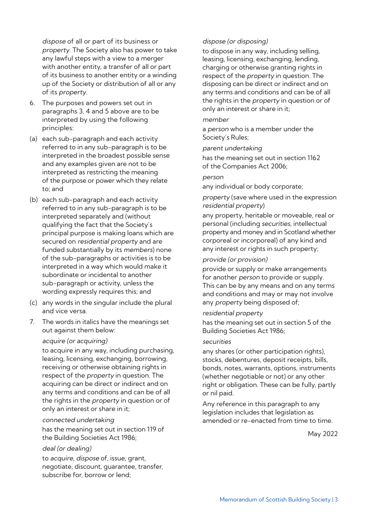dispose of all or part of its business or property. The Society also has power to take any lawful steps with a view to a merger with another entity, a transfer of all or part of its business to another entity or a winding up of the Society or distribution of all or any of its property.

- 6. The purposes and powers set out in paragraphs 3, 4 and 5 above are to be interpreted by using the following principles:
- (a) each sub-paragraph and each activity referred to in any sub-paragraph is to be interpreted in the broadest possible sense and any examples given are not to be interpreted as restricting the meaning of the purpose or power which they relate to; and
- (b) each sub-paragraph and each activity referred to in any sub-paragraph is to be interpreted separately and (without qualifying the fact that the Society's principal purpose is making loans which are secured on residential property and are funded substantially by its members) none of the sub-paragraphs or activities is to be interpreted in a way which would make it subordinate or incidental to another sub-paragraph or activity, unless the wording expressly requires this; and
- (c) any words in the singular include the plural and vice versa.
- 7. The words in italics have the meanings set out against them below:

#### acquire (or acquiring)

to acquire in any way, including purchasing, leasing, licensing, exchanging, borrowing, receiving or otherwise obtaining rights in respect of the property in question. The acquiring can be direct or indirect and on any terms and conditions and can be of all the rights in the *property* in question or of only an interest or share in it;

#### connected undertaking

has the meaning set out in section 119 of the Building Societies Act 1986;

#### deal (or dealing)

to acquire, dispose of, issue, grant, negotiate, discount, guarantee, transfer, subscribe for, borrow or lend;

#### dispose (or disposing)

to dispose in any way, including selling, leasing, licensing, exchanging, lending, charging or otherwise granting rights in respect of the property in question. The disposing can be direct or indirect and on any terms and conditions and can be of all the rights in the property in question or of only an interest or share in it;

#### member

a person who is a member under the Society's Rules;

#### parent undertaking

has the meaning set out in section 1162 of the Companies Act 2006;

#### person

any individual or body corporate;

property (save where used in the expression residential property)

any property, heritable or moveable, real or personal (including securities, intellectual property and money and in Scotland whether corporeal or incorporeal) of any kind and any interest or rights in such property;

#### provide (or provision)

provide or supply or make arrangements for another person to provide or supply. This can be by any means and on any terms and conditions and may or may not involve any property being disposed of;

#### residential property

has the meaning set out in section 5 of the Building Societies Act 1986;

#### securities

any shares (or other participation rights), stocks, debentures, deposit receipts, bills, bonds, notes, warrants, options, instruments (whether negotiable or not) or any other right or obligation. These can be fully, partly or nil paid.

Any reference in this paragraph to any legislation includes that legislation as amended or re-enacted from time to time.

May 2022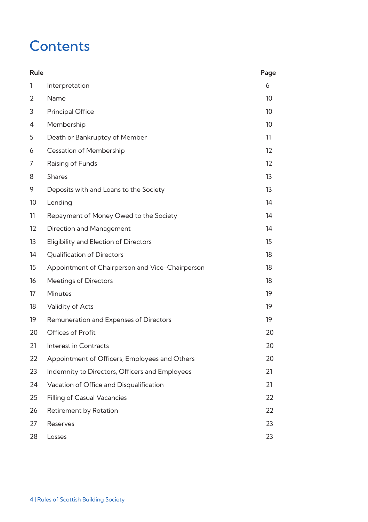# **Contents**

| Rule |                                                 | Page              |
|------|-------------------------------------------------|-------------------|
| 1    | Interpretation                                  | 6                 |
| 2    | Name                                            | 10                |
| 3    | <b>Principal Office</b>                         | 10                |
| 4    | Membership                                      | 10                |
| 5    | Death or Bankruptcy of Member                   | 11                |
| 6    | Cessation of Membership                         | 12                |
| 7    | Raising of Funds                                | $12 \overline{ }$ |
| 8    | <b>Shares</b>                                   | 13                |
| 9    | Deposits with and Loans to the Society          | 13                |
| 10   | Lending                                         | 14                |
| 11   | Repayment of Money Owed to the Society          | 14                |
| 12   | Direction and Management                        | 14                |
| 13   | Eligibility and Election of Directors           | 15                |
| 14   | <b>Oualification of Directors</b>               | 18                |
| 15   | Appointment of Chairperson and Vice-Chairperson | 18                |
| 16   | <b>Meetings of Directors</b>                    | 18                |
| 17   | <b>Minutes</b>                                  | 19                |
| 18   | Validity of Acts                                | 19                |
| 19   | Remuneration and Expenses of Directors          | 19                |
| 20   | Offices of Profit                               | 20                |
| 21   | Interest in Contracts                           | 20                |
| 22   | Appointment of Officers, Employees and Others   | 20                |
| 23   | Indemnity to Directors, Officers and Employees  | 21                |
| 24   | Vacation of Office and Disqualification         | 21                |
| 25   | <b>Filling of Casual Vacancies</b>              | 22                |
| 26   | Retirement by Rotation                          | 22                |
| 27   | Reserves                                        | 23                |
| 28   | Losses                                          | 23                |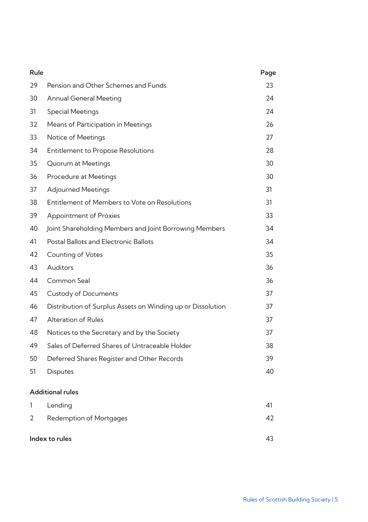| Rule                    |                                                             | Page |
|-------------------------|-------------------------------------------------------------|------|
| 29                      | Pension and Other Schemes and Funds                         | 23   |
| 30                      | Annual General Meeting                                      | 24   |
| 31                      | <b>Special Meetings</b>                                     | 24   |
| 32                      | Means of Participation in Meetings                          | 26   |
| 33                      | Notice of Meetings                                          | 27   |
| 34                      | <b>Entitlement to Propose Resolutions</b>                   | 28   |
| 35                      | Quorum at Meetings                                          | 30   |
| 36                      | Procedure at Meetings                                       | 30   |
| 37                      | <b>Adjourned Meetings</b>                                   | 31   |
| 38                      | Entitlement of Members to Vote on Resolutions               | 31   |
| 39                      | Appointment of Proxies                                      | 33   |
| 40                      | Joint Shareholding Members and Joint Borrowing Members      | 34   |
| 41                      | Postal Ballots and Electronic Ballots                       | 34   |
| 42                      | <b>Counting of Votes</b>                                    | 35   |
| 43                      | <b>Auditors</b>                                             | 36   |
| 44                      | Common Seal                                                 | 36   |
| 45                      | <b>Custody of Documents</b>                                 | 37   |
| 46                      | Distribution of Surplus Assets on Winding up or Dissolution | 37   |
| 47                      | <b>Alteration of Rules</b>                                  | 37   |
| 48                      | Notices to the Secretary and by the Society                 | 37   |
| 49                      | Sales of Deferred Shares of Untraceable Holder              | 38   |
| 50                      | Deferred Shares Register and Other Records                  | 39   |
| 51                      | <b>Disputes</b>                                             | 40   |
| <b>Additional rules</b> |                                                             |      |
| 1                       | Lending                                                     | 41   |
| 2                       | <b>Redemption of Mortgages</b>                              | 42   |
| Index to rules          |                                                             | 43   |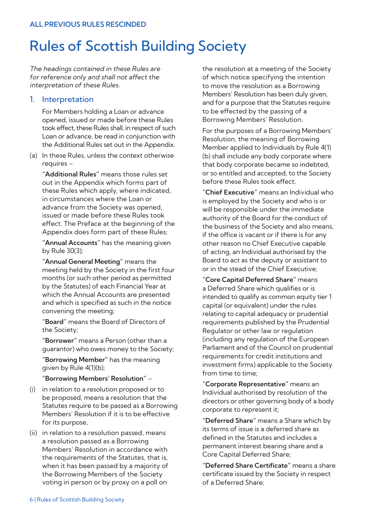# Rules of Scottish Building Society

The headings contained in these Rules are for reference only and shall not affect the interpretation of these Rules.

# 1. Interpretation

For Members holding a Loan or advance opened, issued or made before these Rules took effect, these Rules shall, in respect of such Loan or advance, be read in conjunction with the Additional Rules set out in the Appendix.

(a) In these Rules, unless the context otherwise requires –

**"Additional Rules"** means those rules set out in the Appendix which forms part of these Rules which apply, where indicated, in circumstances where the Loan or advance from the Society was opened, issued or made before these Rules took effect. The Preface at the beginning of the Appendix does form part of these Rules;

**"Annual Accounts"** has the meaning given by Rule 30(3);

**"Annual General Meeting"** means the meeting held by the Society in the first four months (or such other period as permitted by the Statutes) of each Financial Year at which the Annual Accounts are presented and which is specified as such in the notice convening the meeting;

**"Board"** means the Board of Directors of the Society;

**"Borrower"** means a Person (other than a guarantor) who owes money to the Society;

**"Borrowing Member"** has the meaning given by Rule 4(1)(b);

#### **"Borrowing Members' Resolution"** –

- (i) in relation to a resolution proposed or to be proposed, means a resolution that the Statutes require to be passed as a Borrowing Members' Resolution if it is to be effective for its purpose,
- (ii) in relation to a resolution passed, means a resolution passed as a Borrowing Members' Resolution in accordance with the requirements of the Statutes, that is, when it has been passed by a majority of the Borrowing Members of the Society voting in person or by proxy on a poll on

the resolution at a meeting of the Society of which notice specifying the intention to move the resolution as a Borrowing Members' Resolution has been duly given, and for a purpose that the Statutes require to be effected by the passing of a Borrowing Members' Resolution.

For the purposes of a Borrowing Members' Resolution, the meaning of Borrowing Member applied to Individuals by Rule 4(1) (b) shall include any body corporate where that body corporate became so indebted, or so entitled and accepted, to the Society before these Rules took effect.

**"Chief Executive"** means an Individual who is employed by the Society and who is or will be responsible under the immediate authority of the Board for the conduct of the business of the Society and also means, if the office is vacant or if there is for any other reason no Chief Executive capable of acting, an Individual authorised by the Board to act as the deputy or assistant to or in the stead of the Chief Executive;

**"Core Capital Deferred Share"** means a Deferred Share which qualifies or is intended to qualify as common equity tier 1 capital (or equivalent) under the rules relating to capital adequacy or prudential requirements published by the Prudential Regulator or other law or regulation (including any regulation of the European Parliament and of the Council on prudential requirements for credit institutions and investment firms) applicable to the Society from time to time:

**"Corporate Representative"** means an Individual authorised by resolution of the directors or other governing body of a body corporate to represent it;

**"Deferred Share"** means a Share which by its terms of issue is a deferred share as defined in the Statutes and includes a permanent interest bearing share and a Core Capital Deferred Share;

**"Deferred Share Certificate"** means a share certificate issued by the Society in respect of a Deferred Share;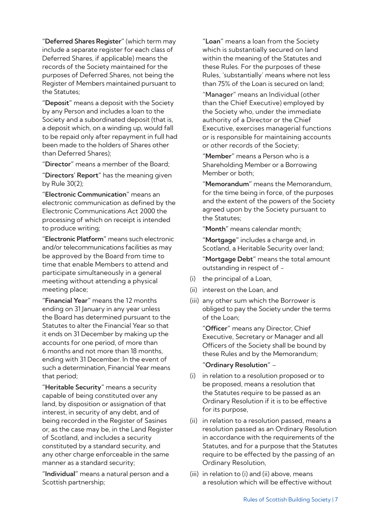**"Deferred Shares Register"** (which term may include a separate register for each class of Deferred Shares, if applicable) means the records of the Society maintained for the purposes of Deferred Shares, not being the Register of Members maintained pursuant to the Statutes;

**"Deposit"** means a deposit with the Society by any Person and includes a loan to the Society and a subordinated deposit (that is, a deposit which, on a winding up, would fall to be repaid only after repayment in full had been made to the holders of Shares other than Deferred Shares);

**"Director"** means a member of the Board;

**"Directors' Report"** has the meaning given by Rule 30(2);

**"Electronic Communication"** means an electronic communication as defined by the Electronic Communications Act 2000 the processing of which on receipt is intended to produce writing;

**"Electronic Platform"** means such electronic and/or telecommunications facilities as may be approved by the Board from time to time that enable Members to attend and participate simultaneously in a general meeting without attending a physical meeting place;

**"Financial Year"** means the 12 months ending on 31 January in any year unless the Board has determined pursuant to the Statutes to alter the Financial Year so that it ends on 31 December by making up the accounts for one period, of more than 6 months and not more than 18 months, ending with 31 December. In the event of such a determination, Financial Year means that period;

**"Heritable Security"** means a security capable of being constituted over any land, by disposition or assignation of that interest, in security of any debt, and of being recorded in the Register of Sasines or, as the case may be, in the Land Register of Scotland, and includes a security constituted by a standard security, and any other charge enforceable in the same manner as a standard security;

**"Individual"** means a natural person and a Scottish partnership;

**"Loan"** means a loan from the Society which is substantially secured on land within the meaning of the Statutes and these Rules. For the purposes of these Rules, 'substantially' means where not less than 75% of the Loan is secured on land;

"Manager" means an Individual (other than the Chief Executive) employed by the Society who, under the immediate authority of a Director or the Chief Executive, exercises managerial functions or is responsible for maintaining accounts or other records of the Society;

**"Member"** means a Person who is a Shareholding Member or a Borrowing Member or both;

**"Memorandum"** means the Memorandum, for the time being in force, of the purposes and the extent of the powers of the Society agreed upon by the Society pursuant to the Statutes;

**"Month"** means calendar month;

**"Mortgage"** includes a charge and, in Scotland, a Heritable Security over land;

**"Mortgage Debt"** means the total amount outstanding in respect of -

- (i) the principal of a Loan,
- (ii) interest on the Loan, and
- (iii) any other sum which the Borrower is obliged to pay the Society under the terms of the Loan;

**"Officer"** means any Director, Chief Executive, Secretary or Manager and all Officers of the Society shall be bound by these Rules and by the Memorandum;

#### **"Ordinary Resolution"** –

- (i) in relation to a resolution proposed or to be proposed, means a resolution that the Statutes require to be passed as an Ordinary Resolution if it is to be effective for its purpose,
- (ii) in relation to a resolution passed, means a resolution passed as an Ordinary Resolution in accordance with the requirements of the Statutes, and for a purpose that the Statutes require to be effected by the passing of an Ordinary Resolution,
- (iii) in relation to (i) and (ii) above, means a resolution which will be effective without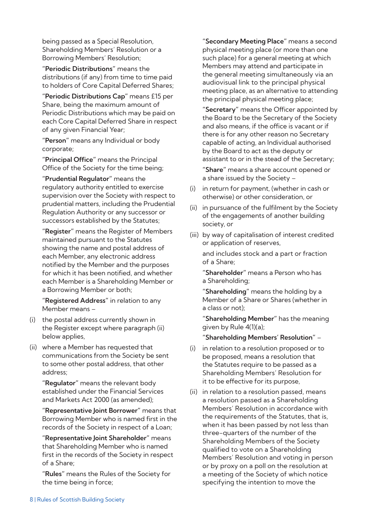being passed as a Special Resolution, Shareholding Members' Resolution or a Borrowing Members' Resolution;

**"Periodic Distributions"** means the distributions (if any) from time to time paid to holders of Core Capital Deferred Shares;

**"Periodic Distributions Cap"** means £15 per Share, being the maximum amount of Periodic Distributions which may be paid on each Core Capital Deferred Share in respect of any given Financial Year;

**"Person"** means any Individual or body corporate;

**"Principal Office"** means the Principal Office of the Society for the time being;

**"Prudential Regulator"** means the regulatory authority entitled to exercise supervision over the Society with respect to prudential matters, including the Prudential Regulation Authority or any successor or successors established by the Statutes;

**"Register"** means the Register of Members maintained pursuant to the Statutes showing the name and postal address of each Member, any electronic address notified by the Member and the purposes for which it has been notified, and whether each Member is a Shareholding Member or a Borrowing Member or both;

**"Registered Address"** in relation to any Member means –

- (i) the postal address currently shown in the Register except where paragraph (ii) below applies,
- (ii) where a Member has requested that communications from the Society be sent to some other postal address, that other address;

**"Regulator"** means the relevant body established under the Financial Services and Markets Act 2000 (as amended);

**"Representative Joint Borrower"** means that Borrowing Member who is named first in the records of the Society in respect of a Loan;

**"Representative Joint Shareholder"** means that Shareholding Member who is named first in the records of the Society in respect of a Share;

**"Rules"** means the Rules of the Society for the time being in force;

**"Secondary Meeting Place"** means a second physical meeting place (or more than one such place) for a general meeting at which Members may attend and participate in the general meeting simultaneously via an audiovisual link to the principal physical meeting place, as an alternative to attending the principal physical meeting place;

**"Secretary"** means the Officer appointed by the Board to be the Secretary of the Society and also means, if the office is vacant or if there is for any other reason no Secretary capable of acting, an Individual authorised by the Board to act as the deputy or assistant to or in the stead of the Secretary;

**"Share"** means a share account opened or a share issued by the Society –

- (i) in return for payment, (whether in cash or otherwise) or other consideration, or
- (ii) in pursuance of the fulfilment by the Society of the engagements of another building society, or
- (iii) by way of capitalisation of interest credited or application of reserves,

and includes stock and a part or fraction of a Share;

**"Shareholder"** means a Person who has a Shareholding;

**"Shareholding"** means the holding by a Member of a Share or Shares (whether in a class or not);

**"Shareholding Member"** has the meaning given by Rule 4(1)(a);

**"Shareholding Members' Resolution"** –

- (i) in relation to a resolution proposed or to be proposed, means a resolution that the Statutes require to be passed as a Shareholding Members' Resolution for it to be effective for its purpose,
- (ii) in relation to a resolution passed, means a resolution passed as a Shareholding Members' Resolution in accordance with the requirements of the Statutes, that is, when it has been passed by not less than three-quarters of the number of the Shareholding Members of the Society qualified to vote on a Shareholding Members' Resolution and voting in person or by proxy on a poll on the resolution at a meeting of the Society of which notice specifying the intention to move the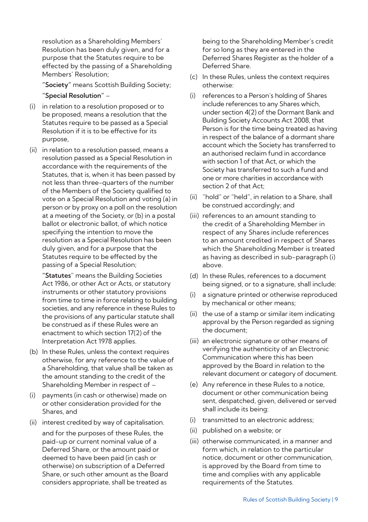resolution as a Shareholding Members' Resolution has been duly given, and for a purpose that the Statutes require to be effected by the passing of a Shareholding Members' Resolution;

**"Society"** means Scottish Building Society;

#### **"Special Resolution"** –

- (i) in relation to a resolution proposed or to be proposed, means a resolution that the Statutes require to be passed as a Special Resolution if it is to be effective for its purpose,
- (ii) in relation to a resolution passed, means a resolution passed as a Special Resolution in accordance with the requirements of the Statutes, that is, when it has been passed by not less than three-quarters of the number of the Members of the Society qualified to vote on a Special Resolution and voting (a) in person or by proxy on a poll on the resolution at a meeting of the Society, or (b) in a postal ballot or electronic ballot, of which notice specifying the intention to move the resolution as a Special Resolution has been duly given, and for a purpose that the Statutes require to be effected by the passing of a Special Resolution;

**"Statutes**" means the Building Societies Act 1986, or other Act or Acts, or statutory instruments or other statutory provisions from time to time in force relating to building societies, and any reference in these Rules to the provisions of any particular statute shall be construed as if these Rules were an enactment to which section 17(2) of the Interpretation Act 1978 applies.

- (b) In these Rules, unless the context requires otherwise, for any reference to the value of a Shareholding, that value shall be taken as the amount standing to the credit of the Shareholding Member in respect of –
- (i) payments (in cash or otherwise) made on or other consideration provided for the Shares, and
- (ii) interest credited by way of capitalisation. and for the purposes of these Rules, the paid-up or current nominal value of a Deferred Share, or the amount paid or deemed to have been paid (in cash or otherwise) on subscription of a Deferred Share, or such other amount as the Board considers appropriate, shall be treated as

being to the Shareholding Member's credit for so long as they are entered in the Deferred Shares Register as the holder of a Deferred Share.

- (c) In these Rules, unless the context requires otherwise:
- (i) references to a Person's holding of Shares include references to any Shares which, under section 4(2) of the Dormant Bank and Building Society Accounts Act 2008, that Person is for the time being treated as having in respect of the balance of a dormant share account which the Society has transferred to an authorised reclaim fund in accordance with section 1 of that Act, or which the Society has transferred to such a fund and one or more charities in accordance with section 2 of that Act;
- (ii) "hold" or "held", in relation to a Share, shall be construed accordingly; and
- (iii) references to an amount standing to the credit of a Shareholding Member in respect of any Shares include references to an amount credited in respect of Shares which the Shareholding Member is treated as having as described in sub-paragraph (i) above.
- (d) In these Rules, references to a document being signed, or to a signature, shall include:
- (i) a signature printed or otherwise reproduced by mechanical or other means;
- (ii) the use of a stamp or similar item indicating approval by the Person regarded as signing the document;
- (iii) an electronic signature or other means of verifying the authenticity of an Electronic Communication where this has been approved by the Board in relation to the relevant document or category of document.
- (e) Any reference in these Rules to a notice, document or other communication being sent, despatched, given, delivered or served shall include its being:
- (i) transmitted to an electronic address;
- (ii) published on a website; or
- (iii) otherwise communicated, in a manner and form which, in relation to the particular notice, document or other communication, is approved by the Board from time to time and complies with any applicable requirements of the Statutes.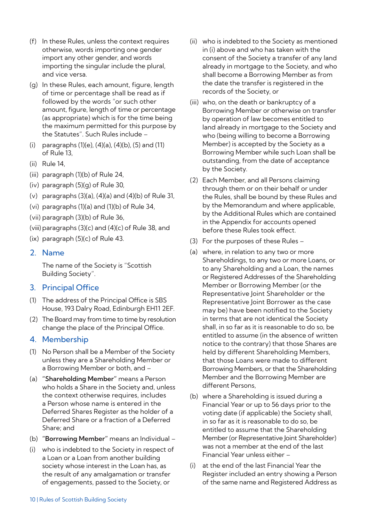- (f) In these Rules, unless the context requires otherwise, words importing one gender import any other gender, and words importing the singular include the plural, and vice versa.
- (g) In these Rules, each amount, figure, length of time or percentage shall be read as if followed by the words "or such other amount, figure, length of time or percentage (as appropriate) which is for the time being the maximum permitted for this purpose by the Statutes". Such Rules include –
- (i) paragraphs (1)(e), (4)(a), (4)(b), (5) and (11) of Rule 13,
- (ii) Rule 14,
- (iii) paragraph (1)(b) of Rule 24,
- (iv) paragraph (5)(g) of Rule 30,
- (v) paragraphs (3)(a), (4)(a) and (4)(b) of Rule 31,
- (vi) paragraphs (1)(a) and (1)(b) of Rule 34,
- (vii) paragraph (3)(b) of Rule 36,
- (viii) paragraphs (3)(c) and (4)(c) of Rule 38, and
- (ix) paragraph (5)(c) of Rule 43.

# 2. Name

The name of the Society is "Scottish Building Society".

# 3. Principal Office

- (1) The address of the Principal Office is SBS House, 193 Dalry Road, Edinburgh EH11 2EF.
- (2) The Board may from time to time by resolution change the place of the Principal Office.

# 4. Membership

- (1) No Person shall be a Member of the Society unless they are a Shareholding Member or a Borrowing Member or both, and –
- (a) **"Shareholding Member"** means a Person who holds a Share in the Society and, unless the context otherwise requires, includes a Person whose name is entered in the Deferred Shares Register as the holder of a Deferred Share or a fraction of a Deferred Share; and
- (b) **"Borrowing Member"** means an Individual –
- (i) who is indebted to the Society in respect of a Loan or a Loan from another building society whose interest in the Loan has, as the result of any amalgamation or transfer of engagements, passed to the Society, or
- (ii) who is indebted to the Society as mentioned in (i) above and who has taken with the consent of the Society a transfer of any land already in mortgage to the Society, and who shall become a Borrowing Member as from the date the transfer is registered in the records of the Society, or
- (iii) who, on the death or bankruptcy of a Borrowing Member or otherwise on transfer by operation of law becomes entitled to land already in mortgage to the Society and who (being willing to become a Borrowing Member) is accepted by the Society as a Borrowing Member while such Loan shall be outstanding, from the date of acceptance by the Society.
- (2) Each Member, and all Persons claiming through them or on their behalf or under the Rules, shall be bound by these Rules and by the Memorandum and where applicable, by the Additional Rules which are contained in the Appendix for accounts opened before these Rules took effect.
- (3) For the purposes of these Rules –
- (a) where, in relation to any two or more Shareholdings, to any two or more Loans, or to any Shareholding and a Loan, the names or Registered Addresses of the Shareholding Member or Borrowing Member (or the Representative Joint Shareholder or the Representative Joint Borrower as the case may be) have been notified to the Society in terms that are not identical the Society shall, in so far as it is reasonable to do so, be entitled to assume (in the absence of written notice to the contrary) that those Shares are held by different Shareholding Members, that those Loans were made to different Borrowing Members, or that the Shareholding Member and the Borrowing Member are different Persons,
- (b) where a Shareholding is issued during a Financial Year or up to 56 days prior to the voting date (if applicable) the Society shall, in so far as it is reasonable to do so, be entitled to assume that the Shareholding Member (or Representative Joint Shareholder) was not a member at the end of the last Financial Year unless either –
- (i) at the end of the last Financial Year the Register included an entry showing a Person of the same name and Registered Address as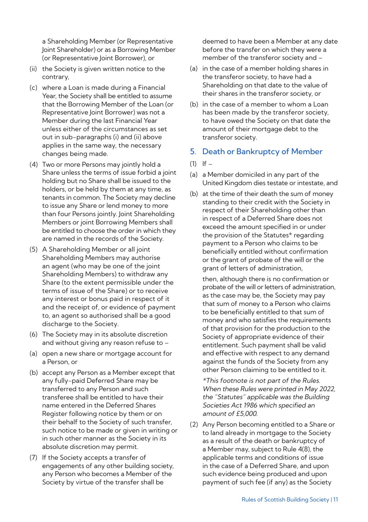a Shareholding Member (or Representative Joint Shareholder) or as a Borrowing Member (or Representative Joint Borrower), or

- (ii) the Society is given written notice to the contrary,
- (c) where a Loan is made during a Financial Year, the Society shall be entitled to assume that the Borrowing Member of the Loan (or Representative Joint Borrower) was not a Member during the last Financial Year unless either of the circumstances as set out in sub-paragraphs (i) and (ii) above applies in the same way, the necessary changes being made.
- (4) Two or more Persons may jointly hold a Share unless the terms of issue forbid a joint holding but no Share shall be issued to the holders, or be held by them at any time, as tenants in common. The Society may decline to issue any Share or lend money to more than four Persons jointly. Joint Shareholding Members or joint Borrowing Members shall be entitled to choose the order in which they are named in the records of the Society.
- (5) A Shareholding Member or all joint Shareholding Members may authorise an agent (who may be one of the joint Shareholding Members) to withdraw any Share (to the extent permissible under the terms of issue of the Share) or to receive any interest or bonus paid in respect of it and the receipt of, or evidence of payment to, an agent so authorised shall be a good discharge to the Society.
- (6) The Society may in its absolute discretion and without giving any reason refuse to –
- (a) open a new share or mortgage account for a Person, or
- (b) accept any Person as a Member except that any fully-paid Deferred Share may be transferred to any Person and such transferee shall be entitled to have their name entered in the Deferred Shares Register following notice by them or on their behalf to the Society of such transfer, such notice to be made or given in writing or in such other manner as the Society in its absolute discretion may permit.
- (7) If the Society accepts a transfer of engagements of any other building society, any Person who becomes a Member of the Society by virtue of the transfer shall be

deemed to have been a Member at any date before the transfer on which they were a member of the transferor society and –

- (a) in the case of a member holding shares in the transferor society, to have had a Shareholding on that date to the value of their shares in the transferor society, or
- (b) in the case of a member to whom a Loan has been made by the transferor society, to have owed the Society on that date the amount of their mortgage debt to the transferor society.

# 5. Death or Bankruptcy of Member

- $(1)$  If  $-$
- (a) a Member domiciled in any part of the United Kingdom dies testate or intestate, and
- (b) at the time of their death the sum of money standing to their credit with the Society in respect of their Shareholding other than in respect of a Deferred Share does not exceed the amount specified in or under the provision of the Statutes\* regarding payment to a Person who claims to be beneficially entitled without confirmation or the grant of probate of the will or the grant of letters of administration,

then, although there is no confirmation or probate of the will or letters of administration, as the case may be, the Society may pay that sum of money to a Person who claims to be beneficially entitled to that sum of money and who satisfies the requirements of that provision for the production to the Society of appropriate evidence of their entitlement. Such payment shall be valid and effective with respect to any demand against the funds of the Society from any other Person claiming to be entitled to it.

\*This footnote is not part of the Rules. When these Rules were printed in May 2022, the "Statutes" applicable was the Building Societies Act 1986 which specified an amount of £5,000.

(2) Any Person becoming entitled to a Share or to land already in mortgage to the Society as a result of the death or bankruptcy of a Member may, subject to Rule 4(8), the applicable terms and conditions of issue in the case of a Deferred Share, and upon such evidence being produced and upon payment of such fee (if any) as the Society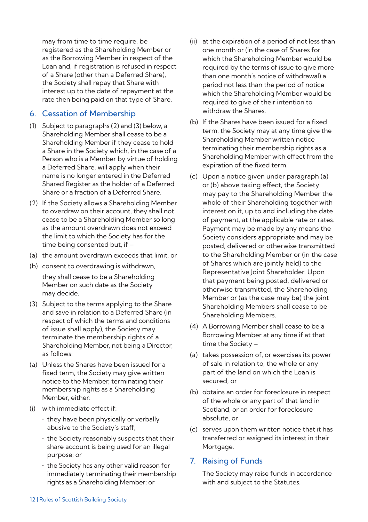may from time to time require, be registered as the Shareholding Member or as the Borrowing Member in respect of the Loan and, if registration is refused in respect of a Share (other than a Deferred Share), the Society shall repay that Share with interest up to the date of repayment at the rate then being paid on that type of Share.

# 6. Cessation of Membership

- (1) Subject to paragraphs (2) and (3) below, a Shareholding Member shall cease to be a Shareholding Member if they cease to hold a Share in the Society which, in the case of a Person who is a Member by virtue of holding a Deferred Share, will apply when their name is no longer entered in the Deferred Shared Register as the holder of a Deferred Share or a fraction of a Deferred Share.
- (2) If the Society allows a Shareholding Member to overdraw on their account, they shall not cease to be a Shareholding Member so long as the amount overdrawn does not exceed the limit to which the Society has for the time being consented but, if –
- (a) the amount overdrawn exceeds that limit, or
- (b) consent to overdrawing is withdrawn,

they shall cease to be a Shareholding Member on such date as the Society may decide.

- (3) Subject to the terms applying to the Share and save in relation to a Deferred Share (in respect of which the terms and conditions of issue shall apply), the Society may terminate the membership rights of a Shareholding Member, not being a Director, as follows:
- (a) Unless the Shares have been issued for a fixed term, the Society may give written notice to the Member, terminating their membership rights as a Shareholding Member, either:
- (i) with immediate effect if:
	- they have been physically or verbally abusive to the Society's staff;
	- the Society reasonably suspects that their share account is being used for an illegal purpose; or
	- the Society has any other valid reason for immediately terminating their membership rights as a Shareholding Member; or
- (ii) at the expiration of a period of not less than one month or (in the case of Shares for which the Shareholding Member would be required by the terms of issue to give more than one month's notice of withdrawal) a period not less than the period of notice which the Shareholding Member would be required to give of their intention to withdraw the Shares.
- (b) If the Shares have been issued for a fixed term, the Society may at any time give the Shareholding Member written notice terminating their membership rights as a Shareholding Member with effect from the expiration of the fixed term.
- (c) Upon a notice given under paragraph (a) or (b) above taking effect, the Society may pay to the Shareholding Member the whole of their Shareholding together with interest on it, up to and including the date of payment, at the applicable rate or rates. Payment may be made by any means the Society considers appropriate and may be posted, delivered or otherwise transmitted to the Shareholding Member or (in the case of Shares which are jointly held) to the Representative Joint Shareholder. Upon that payment being posted, delivered or otherwise transmitted, the Shareholding Member or (as the case may be) the joint Shareholding Members shall cease to be Shareholding Members.
- (4) A Borrowing Member shall cease to be a Borrowing Member at any time if at that time the Society –
- (a) takes possession of, or exercises its power of sale in relation to, the whole or any part of the land on which the Loan is secured, or
- (b) obtains an order for foreclosure in respect of the whole or any part of that land in Scotland, or an order for foreclosure absolute, or
- (c) serves upon them written notice that it has transferred or assigned its interest in their Mortgage.

# 7. Raising of Funds

The Society may raise funds in accordance with and subject to the Statutes.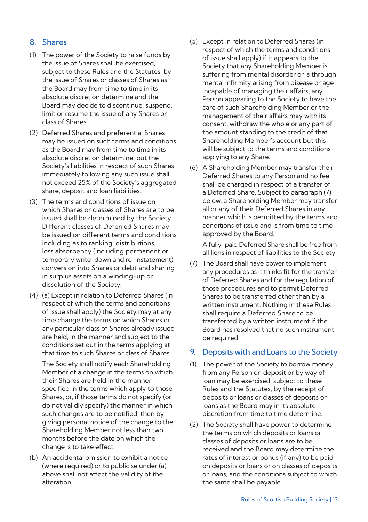# 8. Shares

- (1) The power of the Society to raise funds by the issue of Shares shall be exercised, subject to these Rules and the Statutes, by the issue of Shares or classes of Shares as the Board may from time to time in its absolute discretion determine and the Board may decide to discontinue, suspend, limit or resume the issue of any Shares or class of Shares.
- (2) Deferred Shares and preferential Shares may be issued on such terms and conditions as the Board may from time to time in its absolute discretion determine, but the Society's liabilities in respect of such Shares immediately following any such issue shall not exceed 25% of the Society's aggregated share, deposit and loan liabilities.
- (3) The terms and conditions of issue on which Shares or classes of Shares are to be issued shall be determined by the Society. Different classes of Deferred Shares may be issued on different terms and conditions including as to ranking, distributions, loss absorbency (including permanent or temporary write-down and re-instatement), conversion into Shares or debt and sharing in surplus assets on a winding-up or dissolution of the Society.
- (4) (a) Except in relation to Deferred Shares (in respect of which the terms and conditions of issue shall apply) the Society may at any time change the terms on which Shares or any particular class of Shares already issued are held, in the manner and subject to the conditions set out in the terms applying at that time to such Shares or class of Shares.

The Society shall notify each Shareholding Member of a change in the terms on which their Shares are held in the manner specified in the terms which apply to those Shares, or, if those terms do not specify (or do not validly specify) the manner in which such changes are to be notified, then by giving personal notice of the change to the Shareholding Member not less than two months before the date on which the change is to take effect.

(b) An accidental omission to exhibit a notice (where required) or to publicise under (a) above shall not affect the validity of the alteration.

- (5) Except in relation to Deferred Shares (in respect of which the terms and conditions of issue shall apply) if it appears to the Society that any Shareholding Member is suffering from mental disorder or is through mental infirmity arising from disease or age incapable of managing their affairs, any Person appearing to the Society to have the care of such Shareholding Member or the management of their affairs may with its consent, withdraw the whole or any part of the amount standing to the credit of that Shareholding Member's account but this will be subject to the terms and conditions applying to any Share.
- (6) A Shareholding Member may transfer their Deferred Shares to any Person and no fee shall be charged in respect of a transfer of a Deferred Share. Subject to paragraph (7) below, a Shareholding Member may transfer all or any of their Deferred Shares in any manner which is permitted by the terms and conditions of issue and is from time to time approved by the Board.

A fully-paid Deferred Share shall be free from all liens in respect of liabilities to the Society.

(7) The Board shall have power to implement any procedures as it thinks fit for the transfer of Deferred Shares and for the regulation of those procedures and to permit Deferred Shares to be transferred other than by a written instrument. Nothing in these Rules shall require a Deferred Share to be transferred by a written instrument if the Board has resolved that no such instrument be required.

## 9. Deposits with and Loans to the Society

- (1) The power of the Society to borrow money from any Person on deposit or by way of loan may be exercised, subject to these Rules and the Statutes, by the receipt of deposits or loans or classes of deposits or loans as the Board may in its absolute discretion from time to time determine.
- (2) The Society shall have power to determine the terms on which deposits or loans or classes of deposits or loans are to be received and the Board may determine the rates of interest or bonus (if any) to be paid on deposits or loans or on classes of deposits or loans, and the conditions subject to which the same shall be payable.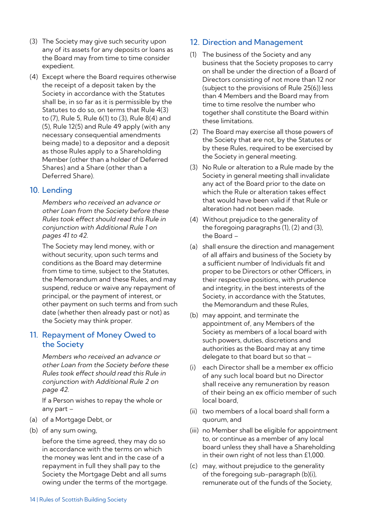- (3) The Society may give such security upon any of its assets for any deposits or loans as the Board may from time to time consider expedient.
- (4) Except where the Board requires otherwise the receipt of a deposit taken by the Society in accordance with the Statutes shall be, in so far as it is permissible by the Statutes to do so, on terms that Rule 4(3) to (7), Rule 5, Rule 6(1) to (3), Rule 8(4) and (5), Rule 12(5) and Rule 49 apply (with any necessary consequential amendments being made) to a depositor and a deposit as those Rules apply to a Shareholding Member (other than a holder of Deferred Shares) and a Share (other than a Deferred Share).

# 10. Lending

Members who received an advance or other Loan from the Society before these Rules took effect should read this Rule in conjunction with Additional Rule 1 on pages 41 to 42.

The Society may lend money, with or without security, upon such terms and conditions as the Board may determine from time to time, subject to the Statutes, the Memorandum and these Rules, and may suspend, reduce or waive any repayment of principal, or the payment of interest, or other payment on such terms and from such date (whether then already past or not) as the Society may think proper.

# 11. Repayment of Money Owed to the Society

Members who received an advance or other Loan from the Society before these Rules took effect should read this Rule in conjunction with Additional Rule 2 on page 42.

If a Person wishes to repay the whole or any part –

- (a) of a Mortgage Debt, or
- (b) of any sum owing,

before the time agreed, they may do so in accordance with the terms on which the money was lent and in the case of a repayment in full they shall pay to the Society the Mortgage Debt and all sums owing under the terms of the mortgage.

# 12. Direction and Management

- (1) The business of the Society and any business that the Society proposes to carry on shall be under the direction of a Board of Directors consisting of not more than 12 nor (subject to the provisions of Rule 25(6)) less than 4 Members and the Board may from time to time resolve the number who together shall constitute the Board within these limitations.
- (2) The Board may exercise all those powers of the Society that are not, by the Statutes or by these Rules, required to be exercised by the Society in general meeting.
- (3) No Rule or alteration to a Rule made by the Society in general meeting shall invalidate any act of the Board prior to the date on which the Rule or alteration takes effect that would have been valid if that Rule or alteration had not been made.
- (4) Without prejudice to the generality of the foregoing paragraphs (1), (2) and (3), the Board –
- (a) shall ensure the direction and management of all affairs and business of the Society by a sufficient number of Individuals fit and proper to be Directors or other Officers, in their respective positions, with prudence and integrity, in the best interests of the Society, in accordance with the Statutes, the Memorandum and these Rules,
- (b) may appoint, and terminate the appointment of, any Members of the Society as members of a local board with such powers, duties, discretions and authorities as the Board may at any time delegate to that board but so that –
- (i) each Director shall be a member ex officio of any such local board but no Director shall receive any remuneration by reason of their being an ex officio member of such local board,
- (ii) two members of a local board shall form a quorum, and
- (iii) no Member shall be eligible for appointment to, or continue as a member of any local board unless they shall have a Shareholding in their own right of not less than £1,000.
- (c) may, without prejudice to the generality of the foregoing sub-paragraph (b)(i), remunerate out of the funds of the Society,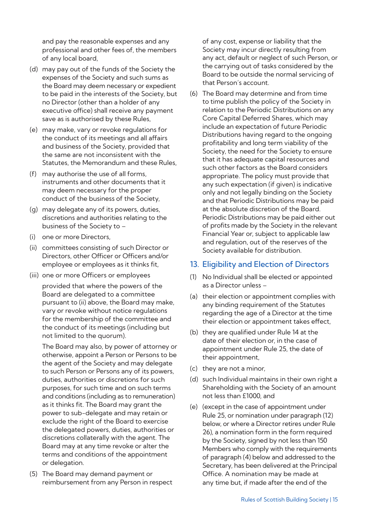and pay the reasonable expenses and any professional and other fees of, the members of any local board,

- (d) may pay out of the funds of the Society the expenses of the Society and such sums as the Board may deem necessary or expedient to be paid in the interests of the Society, but no Director (other than a holder of any executive office) shall receive any payment save as is authorised by these Rules,
- (e) may make, vary or revoke regulations for the conduct of its meetings and all affairs and business of the Society, provided that the same are not inconsistent with the Statutes, the Memorandum and these Rules,
- (f) may authorise the use of all forms, instruments and other documents that it may deem necessary for the proper conduct of the business of the Society,
- (g) may delegate any of its powers, duties, discretions and authorities relating to the business of the Society to –
- (i) one or more Directors,
- (ii) committees consisting of such Director or Directors, other Officer or Officers and/or employee or employees as it thinks fit,
- (iii) one or more Officers or employees provided that where the powers of the Board are delegated to a committee pursuant to (ii) above, the Board may make, vary or revoke without notice regulations for the membership of the committee and the conduct of its meetings (including but not limited to the quorum).

The Board may also, by power of attorney or otherwise, appoint a Person or Persons to be the agent of the Society and may delegate to such Person or Persons any of its powers, duties, authorities or discretions for such purposes, for such time and on such terms and conditions (including as to remuneration) as it thinks fit. The Board may grant the power to sub-delegate and may retain or exclude the right of the Board to exercise the delegated powers, duties, authorities or discretions collaterally with the agent. The Board may at any time revoke or alter the terms and conditions of the appointment or delegation.

(5) The Board may demand payment or reimbursement from any Person in respect of any cost, expense or liability that the Society may incur directly resulting from any act, default or neglect of such Person, or the carrying out of tasks considered by the Board to be outside the normal servicing of that Person's account.

(6) The Board may determine and from time to time publish the policy of the Society in relation to the Periodic Distributions on any Core Capital Deferred Shares, which may include an expectation of future Periodic Distributions having regard to the ongoing profitability and long term viability of the Society, the need for the Society to ensure that it has adequate capital resources and such other factors as the Board considers appropriate. The policy must provide that any such expectation (if given) is indicative only and not legally binding on the Society and that Periodic Distributions may be paid at the absolute discretion of the Board. Periodic Distributions may be paid either out of profits made by the Society in the relevant Financial Year or, subject to applicable law and regulation, out of the reserves of the Society available for distribution.

# 13. Eligibility and Election of Directors

- (1) No Individual shall be elected or appointed as a Director unless –
- (a) their election or appointment complies with any binding requirement of the Statutes regarding the age of a Director at the time their election or appointment takes effect,
- (b) they are qualified under Rule 14 at the date of their election or, in the case of appointment under Rule 25, the date of their appointment,
- (c) they are not a minor,
- (d) such Individual maintains in their own right a Shareholding with the Society of an amount not less than £1000, and
- (e) (except in the case of appointment under Rule 25, or nomination under paragraph (12) below, or where a Director retires under Rule 26), a nomination form in the form required by the Society, signed by not less than 150 Members who comply with the requirements of paragraph (4) below and addressed to the Secretary, has been delivered at the Principal Office. A nomination may be made at any time but, if made after the end of the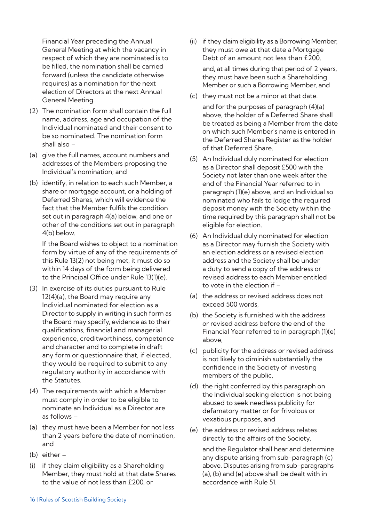Financial Year preceding the Annual General Meeting at which the vacancy in respect of which they are nominated is to be filled, the nomination shall be carried forward (unless the candidate otherwise requires) as a nomination for the next election of Directors at the next Annual General Meeting.

- (2) The nomination form shall contain the full name, address, age and occupation of the Individual nominated and their consent to be so nominated. The nomination form shall also –
- (a) give the full names, account numbers and addresses of the Members proposing the Individual's nomination; and
- (b) identify, in relation to each such Member, a share or mortgage account, or a holding of Deferred Shares, which will evidence the fact that the Member fulfils the condition set out in paragraph 4(a) below, and one or other of the conditions set out in paragraph 4(b) below.

If the Board wishes to object to a nomination form by virtue of any of the requirements of this Rule 13(2) not being met, it must do so within 14 days of the form being delivered to the Principal Office under Rule 13(1)(e).

- (3) In exercise of its duties pursuant to Rule 12(4)(a), the Board may require any Individual nominated for election as a Director to supply in writing in such form as the Board may specify, evidence as to their qualifications, financial and managerial experience, creditworthiness, competence and character and to complete in draft any form or questionnaire that, if elected, they would be required to submit to any regulatory authority in accordance with the Statutes.
- (4) The requirements with which a Member must comply in order to be eligible to nominate an Individual as a Director are as follows –
- (a) they must have been a Member for not less than 2 years before the date of nomination, and
- (b) either –
- (i) if they claim eligibility as a Shareholding Member, they must hold at that date Shares to the value of not less than £200, or
- (ii) if they claim eligibility as a Borrowing Member, they must owe at that date a Mortgage Debt of an amount not less than £200, and, at all times during that period of 2 years, they must have been such a Shareholding Member or such a Borrowing Member, and
- (c) they must not be a minor at that date.
	- and for the purposes of paragraph (4)(a) above, the holder of a Deferred Share shall be treated as being a Member from the date on which such Member's name is entered in the Deferred Shares Register as the holder of that Deferred Share.
- (5) An Individual duly nominated for election as a Director shall deposit £500 with the Society not later than one week after the end of the Financial Year referred to in paragraph (1)(e) above, and an Individual so nominated who fails to lodge the required deposit money with the Society within the time required by this paragraph shall not be eligible for election.
- (6) An Individual duly nominated for election as a Director may furnish the Society with an election address or a revised election address and the Society shall be under a duty to send a copy of the address or revised address to each Member entitled to vote in the election if –
- (a) the address or revised address does not exceed 500 words,
- (b) the Society is furnished with the address or revised address before the end of the Financial Year referred to in paragraph (1)(e) above,
- (c) publicity for the address or revised address is not likely to diminish substantially the confidence in the Society of investing members of the public,
- (d) the right conferred by this paragraph on the Individual seeking election is not being abused to seek needless publicity for defamatory matter or for frivolous or vexatious purposes, and
- (e) the address or revised address relates directly to the affairs of the Society,

and the Regulator shall hear and determine any dispute arising from sub-paragraph (c) above. Disputes arising from sub-paragraphs (a), (b) and (e) above shall be dealt with in accordance with Rule 51.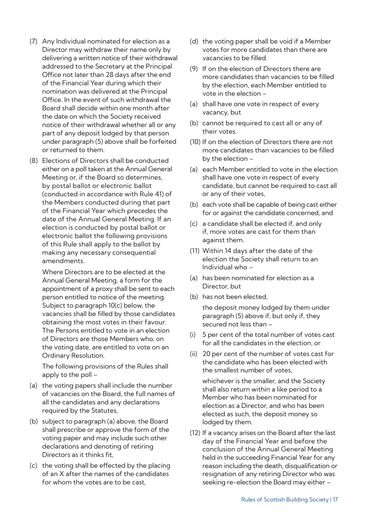- (7) Any Individual nominated for election as a Director may withdraw their name only by delivering a written notice of their withdrawal addressed to the Secretary at the Principal Office not later than 28 days after the end of the Financial Year during which their nomination was delivered at the Principal Office. In the event of such withdrawal the Board shall decide within one month after the date on which the Society received notice of their withdrawal whether all or any part of any deposit lodged by that person under paragraph (5) above shall be forfeited or returned to them.
- (8) Elections of Directors shall be conducted either on a poll taken at the Annual General Meeting or, if the Board so determines, by postal ballot or electronic ballot (conducted in accordance with Rule 41) of the Members conducted during that part of the Financial Year which precedes the date of the Annual General Meeting. If an election is conducted by postal ballot or electronic ballot the following provisions of this Rule shall apply to the ballot by making any necessary consequential amendments.

Where Directors are to be elected at the Annual General Meeting, a form for the appointment of a proxy shall be sent to each person entitled to notice of the meeting. Subject to paragraph 10(c) below, the vacancies shall be filled by those candidates obtaining the most votes in their favour. The Persons entitled to vote in an election of Directors are those Members who, on the voting date, are entitled to vote on an Ordinary Resolution.

The following provisions of the Rules shall apply to the poll –

- (a) the voting papers shall include the number of vacancies on the Board, the full names of all the candidates and any declarations required by the Statutes,
- (b) subject to paragraph (a) above, the Board shall prescribe or approve the form of the voting paper and may include such other declarations and denoting of retiring Directors as it thinks fit,
- (c) the voting shall be effected by the placing of an X after the names of the candidates for whom the votes are to be cast,
- (d) the voting paper shall be void if a Member votes for more candidates than there are vacancies to be filled.
- (9) If on the election of Directors there are more candidates than vacancies to be filled by the election, each Member entitled to vote in the election –
- (a) shall have one vote in respect of every vacancy, but
- (b) cannot be required to cast all or any of their votes.
- (10) If on the election of Directors there are not more candidates than vacancies to be filled by the election –
- (a) each Member entitled to vote in the election shall have one vote in respect of every candidate, but cannot be required to cast all or any of their votes,
- (b) each vote shall be capable of being cast either for or against the candidate concerned, and
- (c) a candidate shall be elected if, and only if, more votes are cast for them than against them.
- (11) Within 14 days after the date of the election the Society shall return to an Individual who –
- (a) has been nominated for election as a Director, but
- (b) has not been elected,

the deposit money lodged by them under paragraph (5) above if, but only if, they secured not less than –

- (i) 5 per cent of the total number of votes cast for all the candidates in the election, or
- (ii) 20 per cent of the number of votes cast for the candidate who has been elected with the smallest number of votes,

whichever is the smaller, and the Society shall also return within a like period to a Member who has been nominated for election as a Director, and who has been elected as such, the deposit money so lodged by them.

(12) If a vacancy arises on the Board after the last day of the Financial Year and before the conclusion of the Annual General Meeting held in the succeeding Financial Year for any reason including the death, disqualification or resignation of any retiring Director who was seeking re-election the Board may either –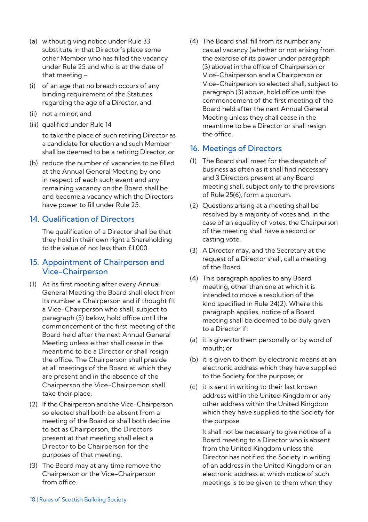- (a) without giving notice under Rule 33 substitute in that Director's place some other Member who has filled the vacancy under Rule 25 and who is at the date of that meeting –
- (i) of an age that no breach occurs of any binding requirement of the Statutes regarding the age of a Director, and
- (ii) not a minor, and
- (iii) qualified under Rule 14

to take the place of such retiring Director as a candidate for election and such Member shall be deemed to be a retiring Director, or

(b) reduce the number of vacancies to be filled at the Annual General Meeting by one in respect of each such event and any remaining vacancy on the Board shall be and become a vacancy which the Directors have power to fill under Rule 25.

# 14. Qualification of Directors

The qualification of a Director shall be that they hold in their own right a Shareholding to the value of not less than £1,000.

# 15. Appointment of Chairperson and Vice-Chairperson

- (1) At its first meeting after every Annual General Meeting the Board shall elect from its number a Chairperson and if thought fit a Vice-Chairperson who shall, subject to paragraph (3) below, hold office until the commencement of the first meeting of the Board held after the next Annual General Meeting unless either shall cease in the meantime to be a Director or shall resign the office. The Chairperson shall preside at all meetings of the Board at which they are present and in the absence of the Chairperson the Vice-Chairperson shall take their place.
- (2) If the Chairperson and the Vice-Chairperson so elected shall both be absent from a meeting of the Board or shall both decline to act as Chairperson, the Directors present at that meeting shall elect a Director to be Chairperson for the purposes of that meeting.
- (3) The Board may at any time remove the Chairperson or the Vice-Chairperson from office.

(4) The Board shall fill from its number any casual vacancy (whether or not arising from the exercise of its power under paragraph (3) above) in the office of Chairperson or Vice-Chairperson and a Chairperson or Vice-Chairperson so elected shall, subject to paragraph (3) above, hold office until the commencement of the first meeting of the Board held after the next Annual General Meeting unless they shall cease in the meantime to be a Director or shall resign the office.

# 16. Meetings of Directors

- (1) The Board shall meet for the despatch of business as often as it shall find necessary and 3 Directors present at any Board meeting shall, subject only to the provisions of Rule 25(6), form a quorum.
- (2) Questions arising at a meeting shall be resolved by a majority of votes and, in the case of an equality of votes, the Chairperson of the meeting shall have a second or casting vote.
- (3) A Director may, and the Secretary at the request of a Director shall, call a meeting of the Board.
- (4) This paragraph applies to any Board meeting, other than one at which it is intended to move a resolution of the kind specified in Rule 24(2). Where this paragraph applies, notice of a Board meeting shall be deemed to be duly given to a Director if:
- (a) it is given to them personally or by word of mouth; or
- (b) it is given to them by electronic means at an electronic address which they have supplied to the Society for the purpose; or
- (c) it is sent in writing to their last known address within the United Kingdom or any other address within the United Kingdom which they have supplied to the Society for the purpose.

It shall not be necessary to give notice of a Board meeting to a Director who is absent from the United Kingdom unless the Director has notified the Society in writing of an address in the United Kingdom or an electronic address at which notice of such meetings is to be given to them when they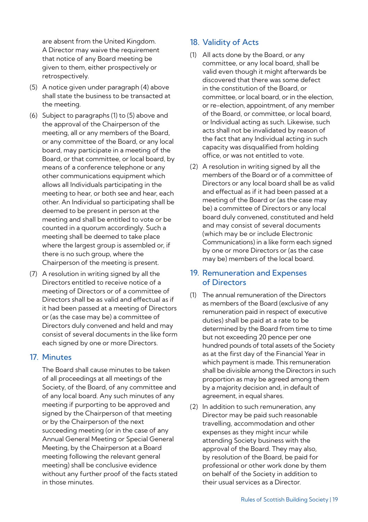are absent from the United Kingdom. A Director may waive the requirement that notice of any Board meeting be given to them, either prospectively or retrospectively.

- (5) A notice given under paragraph (4) above shall state the business to be transacted at the meeting.
- (6) Subject to paragraphs (1) to (5) above and the approval of the Chairperson of the meeting, all or any members of the Board, or any committee of the Board, or any local board, may participate in a meeting of the Board, or that committee, or local board, by means of a conference telephone or any other communications equipment which allows all Individuals participating in the meeting to hear, or both see and hear, each other. An Individual so participating shall be deemed to be present in person at the meeting and shall be entitled to vote or be counted in a quorum accordingly. Such a meeting shall be deemed to take place where the largest group is assembled or, if there is no such group, where the Chairperson of the meeting is present.
- (7) A resolution in writing signed by all the Directors entitled to receive notice of a meeting of Directors or of a committee of Directors shall be as valid and effectual as if it had been passed at a meeting of Directors or (as the case may be) a committee of Directors duly convened and held and may consist of several documents in the like form each signed by one or more Directors.

# 17. Minutes

The Board shall cause minutes to be taken of all proceedings at all meetings of the Society, of the Board, of any committee and of any local board. Any such minutes of any meeting if purporting to be approved and signed by the Chairperson of that meeting or by the Chairperson of the next succeeding meeting (or in the case of any Annual General Meeting or Special General Meeting, by the Chairperson at a Board meeting following the relevant general meeting) shall be conclusive evidence without any further proof of the facts stated in those minutes.

# 18. Validity of Acts

- (1) All acts done by the Board, or any committee, or any local board, shall be valid even though it might afterwards be discovered that there was some defect in the constitution of the Board, or committee, or local board, or in the election, or re-election, appointment, of any member of the Board, or committee, or local board, or Individual acting as such. Likewise, such acts shall not be invalidated by reason of the fact that any Individual acting in such capacity was disqualified from holding office, or was not entitled to vote.
- (2) A resolution in writing signed by all the members of the Board or of a committee of Directors or any local board shall be as valid and effectual as if it had been passed at a meeting of the Board or (as the case may be) a committee of Directors or any local board duly convened, constituted and held and may consist of several documents (which may be or include Electronic Communications) in a like form each signed by one or more Directors or (as the case may be) members of the local board.

# 19. Remuneration and Expenses of Directors

- (1) The annual remuneration of the Directors as members of the Board (exclusive of any remuneration paid in respect of executive duties) shall be paid at a rate to be determined by the Board from time to time but not exceeding 20 pence per one hundred pounds of total assets of the Society as at the first day of the Financial Year in which payment is made. This remuneration shall be divisible among the Directors in such proportion as may be agreed among them by a majority decision and, in default of agreement, in equal shares.
- (2) In addition to such remuneration, any Director may be paid such reasonable travelling, accommodation and other expenses as they might incur while attending Society business with the approval of the Board. They may also, by resolution of the Board, be paid for professional or other work done by them on behalf of the Society in addition to their usual services as a Director.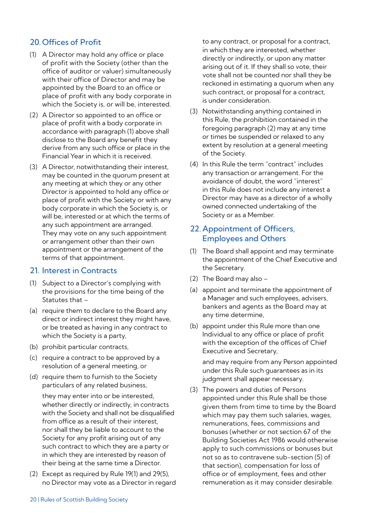# 20. Offices of Profit

- (1) A Director may hold any office or place of profit with the Society (other than the office of auditor or valuer) simultaneously with their office of Director and may be appointed by the Board to an office or place of profit with any body corporate in which the Society is, or will be, interested.
- (2) A Director so appointed to an office or place of profit with a body corporate in accordance with paragraph (1) above shall disclose to the Board any benefit they derive from any such office or place in the Financial Year in which it is received.
- (3) A Director, notwithstanding their interest, may be counted in the quorum present at any meeting at which they or any other Director is appointed to hold any office or place of profit with the Society or with any body corporate in which the Society is, or will be, interested or at which the terms of any such appointment are arranged. They may vote on any such appointment or arrangement other than their own appointment or the arrangement of the terms of that appointment.

# 21. Interest in Contracts

- (1) Subject to a Director's complying with the provisions for the time being of the Statutes that –
- (a) require them to declare to the Board any direct or indirect interest they might have, or be treated as having in any contract to which the Society is a party,
- (b) prohibit particular contracts,
- (c) require a contract to be approved by a resolution of a general meeting, or
- (d) require them to furnish to the Society particulars of any related business,

they may enter into or be interested, whether directly or indirectly, in contracts with the Society and shall not be disqualified from office as a result of their interest nor shall they be liable to account to the Society for any profit arising out of any such contract to which they are a party or in which they are interested by reason of their being at the same time a Director.

(2) Except as required by Rule 19(1) and 29(5), no Director may vote as a Director in regard to any contract, or proposal for a contract, in which they are interested, whether directly or indirectly, or upon any matter arising out of it. If they shall so vote, their vote shall not be counted nor shall they be reckoned in estimating a quorum when any such contract, or proposal for a contract, is under consideration.

- (3) Notwithstanding anything contained in this Rule, the prohibition contained in the foregoing paragraph (2) may at any time or times be suspended or relaxed to any extent by resolution at a general meeting of the Society.
- (4) In this Rule the term "contract" includes any transaction or arrangement. For the avoidance of doubt, the word "interest" in this Rule does not include any interest a Director may have as a director of a wholly owned connected undertaking of the Society or as a Member.

# 22. Appointment of Officers, Employees and Others

- (1) The Board shall appoint and may terminate the appointment of the Chief Executive and the Secretary.
- (2) The Board may also –
- (a) appoint and terminate the appointment of a Manager and such employees, advisers, bankers and agents as the Board may at any time determine,
- (b) appoint under this Rule more than one Individual to any office or place of profit with the exception of the offices of Chief Executive and Secretary,

and may require from any Person appointed under this Rule such guarantees as in its judgment shall appear necessary.

(3) The powers and duties of Persons appointed under this Rule shall be those given them from time to time by the Board which may pay them such salaries, wages, remunerations, fees, commissions and bonuses (whether or not section 67 of the Building Societies Act 1986 would otherwise apply to such commissions or bonuses but not so as to contravene sub-section (5) of that section), compensation for loss of office or of employment, fees and other remuneration as it may consider desirable.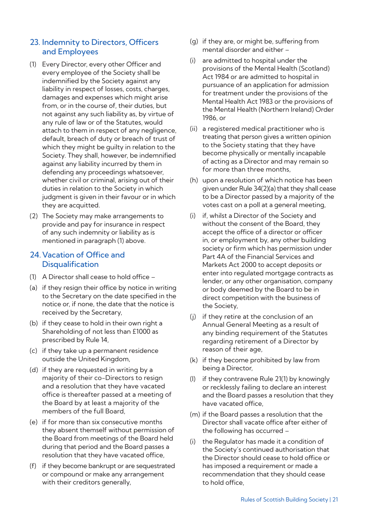# 23. Indemnity to Directors, Officers and Employees

- (1) Every Director, every other Officer and every employee of the Society shall be indemnified by the Society against any liability in respect of losses, costs, charges, damages and expenses which might arise from, or in the course of, their duties, but not against any such liability as, by virtue of any rule of law or of the Statutes, would attach to them in respect of any negligence, default, breach of duty or breach of trust of which they might be quilty in relation to the Society. They shall, however, be indemnified against any liability incurred by them in defending any proceedings whatsoever, whether civil or criminal, arising out of their duties in relation to the Society in which judgment is given in their favour or in which they are acquitted.
- (2) The Society may make arrangements to provide and pay for insurance in respect of any such indemnity or liability as is mentioned in paragraph (1) above.

# 24.Vacation of Office and **Disqualification**

- (1) A Director shall cease to hold office –
- (a) if they resign their office by notice in writing to the Secretary on the date specified in the notice or, if none, the date that the notice is received by the Secretary,
- (b) if they cease to hold in their own right a Shareholding of not less than £1000 as prescribed by Rule 14,
- (c) if they take up a permanent residence outside the United Kingdom,
- (d) if they are requested in writing by a majority of their co-Directors to resign and a resolution that they have vacated office is thereafter passed at a meeting of the Board by at least a majority of the members of the full Board,
- (e) if for more than six consecutive months they absent themself without permission of the Board from meetings of the Board held during that period and the Board passes a resolution that they have vacated office,
- (f) if they become bankrupt or are sequestrated or compound or make any arrangement with their creditors generally,
- (g) if they are, or might be, suffering from mental disorder and either –
- (i) are admitted to hospital under the provisions of the Mental Health (Scotland) Act 1984 or are admitted to hospital in pursuance of an application for admission for treatment under the provisions of the Mental Health Act 1983 or the provisions of the Mental Health (Northern Ireland) Order 1986, or
- (ii) a registered medical practitioner who is treating that person gives a written opinion to the Society stating that they have become physically or mentally incapable of acting as a Director and may remain so for more than three months
- (h) upon a resolution of which notice has been given under Rule 34(2)(a) that they shall cease to be a Director passed by a majority of the votes cast on a poll at a general meeting,
- (i) if, whilst a Director of the Society and without the consent of the Board, they accept the office of a director or officer in, or employment by, any other building society or firm which has permission under Part 4A of the Financial Services and Markets Act 2000 to accept deposits or enter into regulated mortgage contracts as lender, or any other organisation, company or body deemed by the Board to be in direct competition with the business of the Society,
- (j) if they retire at the conclusion of an Annual General Meeting as a result of any binding requirement of the Statutes regarding retirement of a Director by reason of their age,
- (k) if they become prohibited by law from being a Director,
- (l) if they contravene Rule 21(1) by knowingly or recklessly failing to declare an interest and the Board passes a resolution that they have vacated office,
- (m) if the Board passes a resolution that the Director shall vacate office after either of the following has occurred –
- (i) the Regulator has made it a condition of the Society's continued authorisation that the Director should cease to hold office or has imposed a requirement or made a recommendation that they should cease to hold office,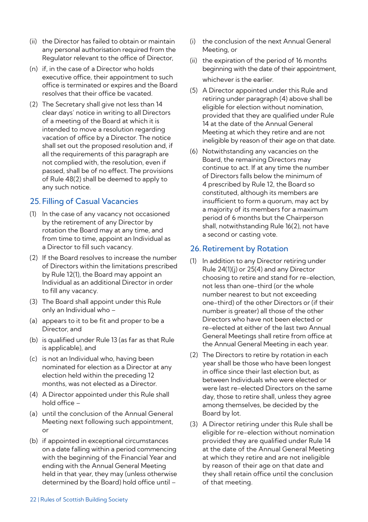- (ii) the Director has failed to obtain or maintain any personal authorisation required from the Regulator relevant to the office of Director,
- (n) if, in the case of a Director who holds executive office, their appointment to such office is terminated or expires and the Board resolves that their office be vacated.
- (2) The Secretary shall give not less than 14 clear days' notice in writing to all Directors of a meeting of the Board at which it is intended to move a resolution regarding vacation of office by a Director. The notice shall set out the proposed resolution and, if all the requirements of this paragraph are not complied with, the resolution, even if passed, shall be of no effect. The provisions of Rule 48(2) shall be deemed to apply to any such notice.

# 25. Filling of Casual Vacancies

- (1) In the case of any vacancy not occasioned by the retirement of any Director by rotation the Board may at any time, and from time to time, appoint an Individual as a Director to fill such vacancy.
- (2) If the Board resolves to increase the number of Directors within the limitations prescribed by Rule 12(1), the Board may appoint an Individual as an additional Director in order to fill any vacancy.
- (3) The Board shall appoint under this Rule only an Individual who –
- (a) appears to it to be fit and proper to be a Director, and
- (b) is qualified under Rule 13 (as far as that Rule is applicable), and
- (c) is not an Individual who, having been nominated for election as a Director at any election held within the preceding 12 months, was not elected as a Director.
- (4) A Director appointed under this Rule shall hold office –
- (a) until the conclusion of the Annual General Meeting next following such appointment, or
- (b) if appointed in exceptional circumstances on a date falling within a period commencing with the beginning of the Financial Year and ending with the Annual General Meeting held in that year, they may (unless otherwise determined by the Board) hold office until –
- (i) the conclusion of the next Annual General Meeting, or
- (ii) the expiration of the period of 16 months beginning with the date of their appointment, whichever is the earlier.
- (5) A Director appointed under this Rule and retiring under paragraph (4) above shall be eligible for election without nomination, provided that they are qualified under Rule 14 at the date of the Annual General Meeting at which they retire and are not ineligible by reason of their age on that date.
- (6) Notwithstanding any vacancies on the Board, the remaining Directors may continue to act. If at any time the number of Directors falls below the minimum of 4 prescribed by Rule 12, the Board so constituted, although its members are insufficient to form a quorum, may act by a majority of its members for a maximum period of 6 months but the Chairperson shall, notwithstanding Rule 16(2), not have a second or casting vote.

# 26. Retirement by Rotation

- (1) In addition to any Director retiring under Rule 24(1)(j) or 25(4) and any Director choosing to retire and stand for re-election, not less than one-third (or the whole number nearest to but not exceeding one-third) of the other Directors or (if their number is greater) all those of the other Directors who have not been elected or re-elected at either of the last two Annual General Meetings shall retire from office at the Annual General Meeting in each year.
- (2) The Directors to retire by rotation in each year shall be those who have been longest in office since their last election but, as between Individuals who were elected or were last re-elected Directors on the same day, those to retire shall, unless they agree among themselves, be decided by the Board by lot.
- (3) A Director retiring under this Rule shall be eligible for re-election without nomination provided they are qualified under Rule 14 at the date of the Annual General Meeting at which they retire and are not ineligible by reason of their age on that date and they shall retain office until the conclusion of that meeting.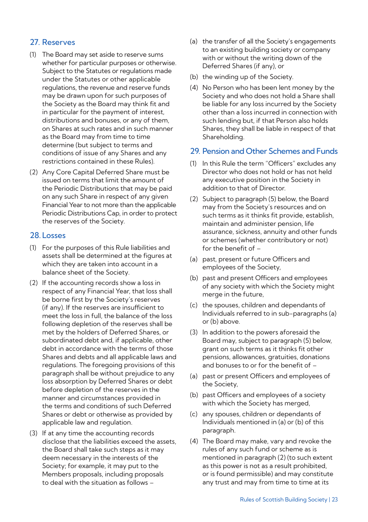# 27. Reserves

- (1) The Board may set aside to reserve sums whether for particular purposes or otherwise. Subject to the Statutes or regulations made under the Statutes or other applicable regulations, the revenue and reserve funds may be drawn upon for such purposes of the Society as the Board may think fit and in particular for the payment of interest, distributions and bonuses, or any of them, on Shares at such rates and in such manner as the Board may from time to time determine (but subject to terms and conditions of issue of any Shares and any restrictions contained in these Rules).
- (2) Any Core Capital Deferred Share must be issued on terms that limit the amount of the Periodic Distributions that may be paid on any such Share in respect of any given Financial Year to not more than the applicable Periodic Distributions Cap, in order to protect the reserves of the Society.

## 28. Losses

- (1) For the purposes of this Rule liabilities and assets shall be determined at the figures at which they are taken into account in a balance sheet of the Society.
- (2) If the accounting records show a loss in respect of any Financial Year, that loss shall be borne first by the Society's reserves (if any). If the reserves are insufficient to meet the loss in full, the balance of the loss following depletion of the reserves shall be met by the holders of Deferred Shares, or subordinated debt and, if applicable, other debt in accordance with the terms of those Shares and debts and all applicable laws and regulations. The foregoing provisions of this paragraph shall be without prejudice to any loss absorption by Deferred Shares or debt before depletion of the reserves in the manner and circumstances provided in the terms and conditions of such Deferred Shares or debt or otherwise as provided by applicable law and regulation.
- (3) If at any time the accounting records disclose that the liabilities exceed the assets, the Board shall take such steps as it may deem necessary in the interests of the Society; for example, it may put to the Members proposals, including proposals to deal with the situation as follows –
- (a) the transfer of all the Society's engagements to an existing building society or company with or without the writing down of the Deferred Shares (if any), or
- (b) the winding up of the Society.
- (4) No Person who has been lent money by the Society and who does not hold a Share shall be liable for any loss incurred by the Society other than a loss incurred in connection with such lending but, if that Person also holds Shares, they shall be liable in respect of that Shareholding.

# 29. Pension and Other Schemes and Funds

- (1) In this Rule the term "Officers" excludes any Director who does not hold or has not held any executive position in the Society in addition to that of Director.
- (2) Subject to paragraph (5) below, the Board may from the Society's resources and on such terms as it thinks fit provide, establish, maintain and administer pension, life assurance, sickness, annuity and other funds or schemes (whether contributory or not) for the benefit of –
- (a) past, present or future Officers and employees of the Society,
- (b) past and present Officers and employees of any society with which the Society might merge in the future,
- (c) the spouses, children and dependants of Individuals referred to in sub-paragraphs (a) or (b) above.
- (3) In addition to the powers aforesaid the Board may, subject to paragraph (5) below, grant on such terms as it thinks fit other pensions, allowances, gratuities, donations and bonuses to or for the benefit of –
- (a) past or present Officers and employees of the Society,
- (b) past Officers and employees of a society with which the Society has merged,
- (c) any spouses, children or dependants of Individuals mentioned in (a) or (b) of this paragraph.
- (4) The Board may make, vary and revoke the rules of any such fund or scheme as is mentioned in paragraph (2) (to such extent as this power is not as a result prohibited, or is found permissible) and may constitute any trust and may from time to time at its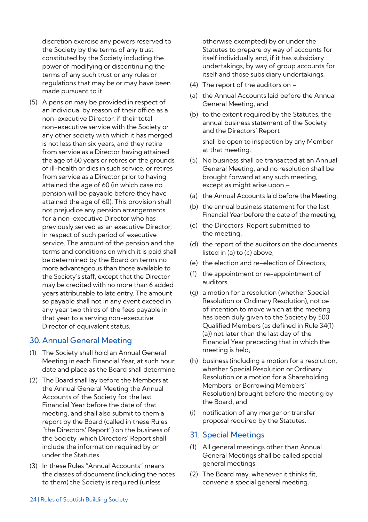discretion exercise any powers reserved to the Society by the terms of any trust constituted by the Society including the power of modifying or discontinuing the terms of any such trust or any rules or regulations that may be or may have been made pursuant to it.

(5) A pension may be provided in respect of an Individual by reason of their office as a non-executive Director, if their total non-executive service with the Society or any other society with which it has merged is not less than six years, and they retire from service as a Director having attained the age of 60 years or retires on the grounds of ill-health or dies in such service, or retires from service as a Director prior to having attained the age of 60 (in which case no pension will be payable before they have attained the age of 60). This provision shall not prejudice any pension arrangements for a non-executive Director who has previously served as an executive Director, in respect of such period of executive service. The amount of the pension and the terms and conditions on which it is paid shall be determined by the Board on terms no more advantageous than those available to the Society's staff, except that the Director may be credited with no more than 6 added years attributable to late entry. The amount so payable shall not in any event exceed in any year two thirds of the fees payable in that year to a serving non-executive Director of equivalent status.

#### 30. Annual General Meeting

- (1) The Society shall hold an Annual General Meeting in each Financial Year, at such hour, date and place as the Board shall determine.
- (2) The Board shall lay before the Members at the Annual General Meeting the Annual Accounts of the Society for the last Financial Year before the date of that meeting, and shall also submit to them a report by the Board (called in these Rules "the Directors' Report") on the business of the Society, which Directors' Report shall include the information required by or under the Statutes.
- (3) In these Rules "Annual Accounts" means the classes of document (including the notes to them) the Society is required (unless

otherwise exempted) by or under the Statutes to prepare by way of accounts for itself individually and, if it has subsidiary undertakings, by way of group accounts for itself and those subsidiary undertakings.

- (4) The report of the auditors on –
- (a) the Annual Accounts laid before the Annual General Meeting, and
- (b) to the extent required by the Statutes, the annual business statement of the Society and the Directors' Report shall be open to inspection by any Member at that meeting.
- (5) No business shall be transacted at an Annual General Meeting, and no resolution shall be brought forward at any such meeting, except as might arise upon –
- (a) the Annual Accounts laid before the Meeting,
- (b) the annual business statement for the last Financial Year before the date of the meeting,
- (c) the Directors' Report submitted to the meeting,
- (d) the report of the auditors on the documents listed in (a) to (c) above,
- (e) the election and re-election of Directors,
- (f) the appointment or re-appointment of auditors,
- (g) a motion for a resolution (whether Special Resolution or Ordinary Resolution), notice of intention to move which at the meeting has been duly given to the Society by 500 Qualified Members (as defined in Rule 34(1) (a)) not later than the last day of the Financial Year preceding that in which the meeting is held,
- (h) business (including a motion for a resolution, whether Special Resolution or Ordinary Resolution or a motion for a Shareholding Members' or Borrowing Members' Resolution) brought before the meeting by the Board, and
- (i) notification of any merger or transfer proposal required by the Statutes.

#### 31. Special Meetings

- (1) All general meetings other than Annual General Meetings shall be called special general meetings.
- (2) The Board may, whenever it thinks fit, convene a special general meeting.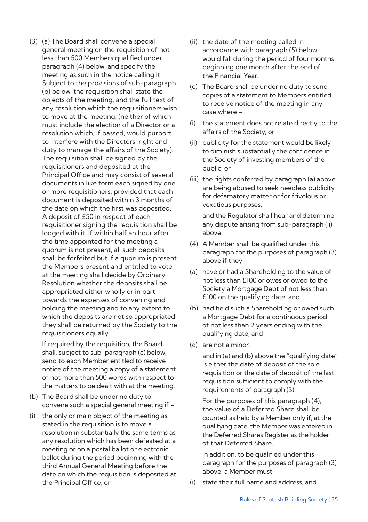(3) (a) The Board shall convene a special general meeting on the requisition of not less than 500 Members qualified under paragraph (4) below, and specify the meeting as such in the notice calling it. Subject to the provisions of sub-paragraph (b) below, the requisition shall state the objects of the meeting, and the full text of any resolution which the requisitioners wish to move at the meeting, (neither of which must include the election of a Director or a resolution which, if passed, would purport to interfere with the Directors' right and duty to manage the affairs of the Society). The requisition shall be signed by the requisitioners and deposited at the Principal Office and may consist of several documents in like form each signed by one or more requisitioners, provided that each document is deposited within 3 months of the date on which the first was deposited. A deposit of £50 in respect of each requisitioner signing the requisition shall be lodged with it. If within half an hour after the time appointed for the meeting a quorum is not present, all such deposits shall be forfeited but if a quorum is present the Members present and entitled to vote at the meeting shall decide by Ordinary Resolution whether the deposits shall be appropriated either wholly or in part towards the expenses of convening and holding the meeting and to any extent to which the deposits are not so appropriated they shall be returned by the Society to the requisitioners equally.

If required by the requisition, the Board shall, subject to sub-paragraph (c) below, send to each Member entitled to receive notice of the meeting a copy of a statement of not more than 500 words with respect to the matters to be dealt with at the meeting.

- (b) The Board shall be under no duty to convene such a special general meeting if –
- (i) the only or main object of the meeting as stated in the requisition is to move a resolution in substantially the same terms as any resolution which has been defeated at a meeting or on a postal ballot or electronic ballot during the period beginning with the third Annual General Meeting before the date on which the requisition is deposited at the Principal Office, or
- (ii) the date of the meeting called in accordance with paragraph (5) below would fall during the period of four months beginning one month after the end of the Financial Year.
- (c) The Board shall be under no duty to send copies of a statement to Members entitled to receive notice of the meeting in any case where –
- (i) the statement does not relate directly to the affairs of the Society, or
- (ii) publicity for the statement would be likely to diminish substantially the confidence in the Society of investing members of the public, or
- (iii) the rights conferred by paragraph (a) above are being abused to seek needless publicity for defamatory matter or for frivolous or vexatious purposes,

and the Regulator shall hear and determine any dispute arising from sub-paragraph (ii) above.

- (4) A Member shall be qualified under this paragraph for the purposes of paragraph (3) above if they –
- (a) have or had a Shareholding to the value of not less than £100 or owes or owed to the Society a Mortgage Debt of not less than £100 on the qualifying date, and
- (b) had held such a Shareholding or owed such a Mortgage Debt for a continuous period of not less than 2 years ending with the qualifying date, and
- (c) are not a minor,

and in (a) and (b) above the "qualifying date" is either the date of deposit of the sole requisition or the date of deposit of the last requisition sufficient to comply with the requirements of paragraph (3).

For the purposes of this paragraph (4), the value of a Deferred Share shall be counted as held by a Member only if, at the qualifying date, the Member was entered in the Deferred Shares Register as the holder of that Deferred Share.

In addition, to be qualified under this paragraph for the purposes of paragraph (3) above, a Member must –

(i) state their full name and address, and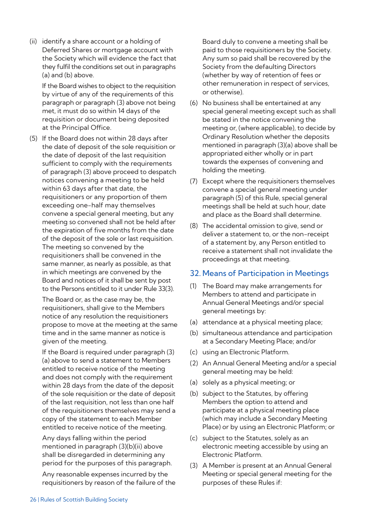(ii) identify a share account or a holding of Deferred Shares or mortgage account with the Society which will evidence the fact that they fulfil the conditions set out in paragraphs (a) and (b) above.

If the Board wishes to object to the requisition by virtue of any of the requirements of this paragraph or paragraph (3) above not being met, it must do so within 14 days of the requisition or document being deposited at the Principal Office.

(5) If the Board does not within 28 days after the date of deposit of the sole requisition or the date of deposit of the last requisition sufficient to comply with the requirements of paragraph (3) above proceed to despatch notices convening a meeting to be held within 63 days after that date, the requisitioners or any proportion of them exceeding one-half may themselves convene a special general meeting, but any meeting so convened shall not be held after the expiration of five months from the date of the deposit of the sole or last requisition. The meeting so convened by the requisitioners shall be convened in the same manner, as nearly as possible, as that in which meetings are convened by the Board and notices of it shall be sent by post to the Persons entitled to it under Rule 33(3).

The Board or, as the case may be, the requisitioners, shall give to the Members notice of any resolution the requisitioners propose to move at the meeting at the same time and in the same manner as notice is given of the meeting.

If the Board is required under paragraph (3) (a) above to send a statement to Members entitled to receive notice of the meeting and does not comply with the requirement within 28 days from the date of the deposit of the sole requisition or the date of deposit of the last requisition, not less than one half of the requisitioners themselves may send a copy of the statement to each Member entitled to receive notice of the meeting.

Any days falling within the period mentioned in paragraph (3)(b)(ii) above shall be disregarded in determining any period for the purposes of this paragraph.

Any reasonable expenses incurred by the requisitioners by reason of the failure of the Board duly to convene a meeting shall be paid to those requisitioners by the Society. Any sum so paid shall be recovered by the Society from the defaulting Directors (whether by way of retention of fees or other remuneration in respect of services, or otherwise).

- (6) No business shall be entertained at any special general meeting except such as shall be stated in the notice convening the meeting or, (where applicable), to decide by Ordinary Resolution whether the deposits mentioned in paragraph (3)(a) above shall be appropriated either wholly or in part towards the expenses of convening and holding the meeting.
- (7) Except where the requisitioners themselves convene a special general meeting under paragraph (5) of this Rule, special general meetings shall be held at such hour, date and place as the Board shall determine.
- (8) The accidental omission to give, send or deliver a statement to, or the non-receipt of a statement by, any Person entitled to receive a statement shall not invalidate the proceedings at that meeting.

#### 32. Means of Participation in Meetings

- (1) The Board may make arrangements for Members to attend and participate in Annual General Meetings and/or special general meetings by:
- (a) attendance at a physical meeting place;
- (b) simultaneous attendance and participation at a Secondary Meeting Place; and/or
- (c) using an Electronic Platform.
- (2) An Annual General Meeting and/or a special general meeting may be held:
- (a) solely as a physical meeting; or
- (b) subject to the Statutes, by offering Members the option to attend and participate at a physical meeting place (which may include a Secondary Meeting Place) or by using an Electronic Platform; or
- (c) subject to the Statutes, solely as an electronic meeting accessible by using an Electronic Platform.
- (3) A Member is present at an Annual General Meeting or special general meeting for the purposes of these Rules if: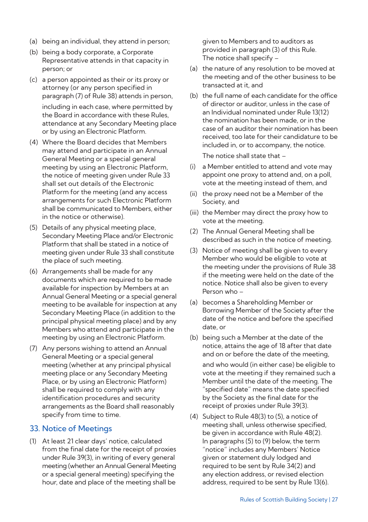- (a) being an individual, they attend in person;
- (b) being a body corporate, a Corporate Representative attends in that capacity in person; or
- (c) a person appointed as their or its proxy or attorney (or any person specified in paragraph (7) of Rule 38) attends in person, including in each case, where permitted by the Board in accordance with these Rules, attendance at any Secondary Meeting place or by using an Electronic Platform.
- (4) Where the Board decides that Members may attend and participate in an Annual General Meeting or a special general meeting by using an Electronic Platform, the notice of meeting given under Rule 33 shall set out details of the Electronic Platform for the meeting (and any access arrangements for such Electronic Platform shall be communicated to Members, either in the notice or otherwise).
- (5) Details of any physical meeting place, Secondary Meeting Place and/or Electronic Platform that shall be stated in a notice of meeting given under Rule 33 shall constitute the place of such meeting.
- (6) Arrangements shall be made for any documents which are required to be made available for inspection by Members at an Annual General Meeting or a special general meeting to be available for inspection at any Secondary Meeting Place (in addition to the principal physical meeting place) and by any Members who attend and participate in the meeting by using an Electronic Platform.
- (7) Any persons wishing to attend an Annual General Meeting or a special general meeting (whether at any principal physical meeting place or any Secondary Meeting Place, or by using an Electronic Platform) shall be required to comply with any identification procedures and security arrangements as the Board shall reasonably specify from time to time.

# 33. Notice of Meetings

(1) At least 21 clear days' notice, calculated from the final date for the receipt of proxies under Rule 39(3), in writing of every general meeting (whether an Annual General Meeting or a special general meeting) specifying the hour, date and place of the meeting shall be

given to Members and to auditors as provided in paragraph (3) of this Rule. The notice shall specify –

- (a) the nature of any resolution to be moved at the meeting and of the other business to be transacted at it, and
- (b) the full name of each candidate for the office of director or auditor, unless in the case of an Individual nominated under Rule 13(12) the nomination has been made, or in the case of an auditor their nomination has been received, too late for their candidature to be included in, or to accompany, the notice.

The notice shall state that –

- (i) a Member entitled to attend and vote may appoint one proxy to attend and, on a poll, vote at the meeting instead of them, and
- (ii) the proxy need not be a Member of the Society, and
- (iii) the Member may direct the proxy how to vote at the meeting.
- (2) The Annual General Meeting shall be described as such in the notice of meeting.
- (3) Notice of meeting shall be given to every Member who would be eligible to vote at the meeting under the provisions of Rule 38 if the meeting were held on the date of the notice. Notice shall also be given to every Person who –
- (a) becomes a Shareholding Member or Borrowing Member of the Society after the date of the notice and before the specified date, or
- (b) being such a Member at the date of the notice, attains the age of 18 after that date and on or before the date of the meeting,

and who would (in either case) be eligible to vote at the meeting if they remained such a Member until the date of the meeting. The "specified date" means the date specified by the Society as the final date for the receipt of proxies under Rule 39(3).

(4) Subject to Rule 48(3) to (5), a notice of meeting shall, unless otherwise specified, be given in accordance with Rule 48(2). In paragraphs (5) to (9) below, the term "notice" includes any Members' Notice given or statement duly lodged and required to be sent by Rule 34(2) and any election address, or revised election address, required to be sent by Rule 13(6).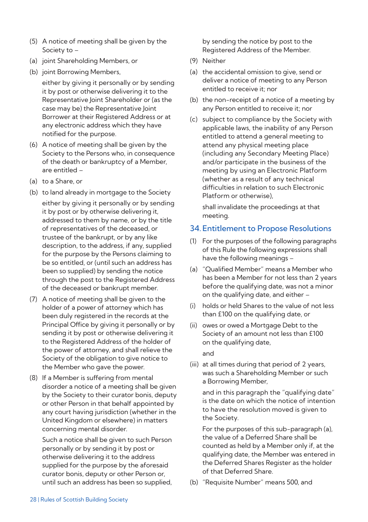- (5) A notice of meeting shall be given by the Society to –
- (a) joint Shareholding Members, or
- (b) joint Borrowing Members,

either by giving it personally or by sending it by post or otherwise delivering it to the Representative Joint Shareholder or (as the case may be) the Representative Joint Borrower at their Registered Address or at any electronic address which they have notified for the purpose.

- (6) A notice of meeting shall be given by the Society to the Persons who, in consequence of the death or bankruptcy of a Member, are entitled –
- (a) to a Share, or
- (b) to land already in mortgage to the Society

either by giving it personally or by sending it by post or by otherwise delivering it, addressed to them by name, or by the title of representatives of the deceased, or trustee of the bankrupt, or by any like description, to the address, if any, supplied for the purpose by the Persons claiming to be so entitled, or (until such an address has been so supplied) by sending the notice through the post to the Registered Address of the deceased or bankrupt member.

- (7) A notice of meeting shall be given to the holder of a power of attorney which has been duly registered in the records at the Principal Office by giving it personally or by sending it by post or otherwise delivering it to the Registered Address of the holder of the power of attorney, and shall relieve the Society of the obligation to give notice to the Member who gave the power.
- (8) If a Member is suffering from mental disorder a notice of a meeting shall be given by the Society to their curator bonis, deputy or other Person in that behalf appointed by any court having jurisdiction (whether in the United Kingdom or elsewhere) in matters concerning mental disorder.

Such a notice shall be given to such Person personally or by sending it by post or otherwise delivering it to the address supplied for the purpose by the aforesaid curator bonis, deputy or other Person or, until such an address has been so supplied, by sending the notice by post to the Registered Address of the Member.

- (9) Neither
- (a) the accidental omission to give, send or deliver a notice of meeting to any Person entitled to receive it; nor
- (b) the non-receipt of a notice of a meeting by any Person entitled to receive it; nor
- (c) subject to compliance by the Society with applicable laws, the inability of any Person entitled to attend a general meeting to attend any physical meeting place (including any Secondary Meeting Place) and/or participate in the business of the meeting by using an Electronic Platform (whether as a result of any technical difficulties in relation to such Electronic Platform or otherwise),

shall invalidate the proceedings at that meeting.

# 34. Entitlement to Propose Resolutions

- (1) For the purposes of the following paragraphs of this Rule the following expressions shall have the following meanings –
- (a) "Qualified Member" means a Member who has been a Member for not less than 2 years before the qualifying date, was not a minor on the qualifying date, and either –
- (i) holds or held Shares to the value of not less than £100 on the qualifying date, or
- (ii) owes or owed a Mortgage Debt to the Society of an amount not less than £100 on the qualifying date,

and

(iii) at all times during that period of 2 years, was such a Shareholding Member or such a Borrowing Member,

and in this paragraph the "qualifying date" is the date on which the notice of intention to have the resolution moved is given to the Society.

For the purposes of this sub-paragraph (a), the value of a Deferred Share shall be counted as held by a Member only if, at the qualifying date, the Member was entered in the Deferred Shares Register as the holder of that Deferred Share.

(b) "Requisite Number" means 500, and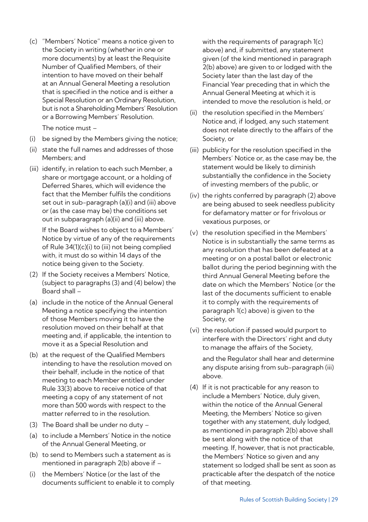(c) "Members' Notice" means a notice given to the Society in writing (whether in one or more documents) by at least the Requisite Number of Qualified Members, of their intention to have moved on their behalf at an Annual General Meeting a resolution that is specified in the notice and is either a Special Resolution or an Ordinary Resolution, but is not a Shareholding Members' Resolution or a Borrowing Members' Resolution.

The notice must –

- (i) be signed by the Members giving the notice;
- (ii) state the full names and addresses of those Members; and
- (iii) identify, in relation to each such Member, a share or mortgage account, or a holding of Deferred Shares, which will evidence the fact that the Member fulfils the conditions set out in sub-paragraph (a)(i) and (iii) above or (as the case may be) the conditions set out in subparagraph (a)(ii) and (iii) above.

If the Board wishes to object to a Members' Notice by virtue of any of the requirements of Rule 34(1)(c)(i) to (iii) not being complied with, it must do so within 14 days of the notice being given to the Society.

- (2) If the Society receives a Members' Notice, (subject to paragraphs (3) and (4) below) the Board shall –
- (a) include in the notice of the Annual General Meeting a notice specifying the intention of those Members moving it to have the resolution moved on their behalf at that meeting and, if applicable, the intention to move it as a Special Resolution and
- (b) at the request of the Qualified Members intending to have the resolution moved on their behalf, include in the notice of that meeting to each Member entitled under Rule 33(3) above to receive notice of that meeting a copy of any statement of not more than 500 words with respect to the matter referred to in the resolution.
- (3) The Board shall be under no duty –
- (a) to include a Members' Notice in the notice of the Annual General Meeting, or
- (b) to send to Members such a statement as is mentioned in paragraph 2(b) above if –
- (i) the Members' Notice (or the last of the documents sufficient to enable it to comply

with the requirements of paragraph 1(c) above) and, if submitted, any statement given (of the kind mentioned in paragraph 2(b) above) are given to or lodged with the Society later than the last day of the Financial Year preceding that in which the Annual General Meeting at which it is intended to move the resolution is held, or

- (ii) the resolution specified in the Members' Notice and, if lodged, any such statement does not relate directly to the affairs of the Society, or
- (iii) publicity for the resolution specified in the Members' Notice or, as the case may be, the statement would be likely to diminish substantially the confidence in the Society of investing members of the public, or
- (iv) the rights conferred by paragraph (2) above are being abused to seek needless publicity for defamatory matter or for frivolous or vexatious purposes, or
- (v) the resolution specified in the Members' Notice is in substantially the same terms as any resolution that has been defeated at a meeting or on a postal ballot or electronic ballot during the period beginning with the third Annual General Meeting before the date on which the Members' Notice (or the last of the documents sufficient to enable it to comply with the requirements of paragraph 1(c) above) is given to the Society, or
- (vi) the resolution if passed would purport to interfere with the Directors' right and duty to manage the affairs of the Society, and the Regulator shall hear and determine

any dispute arising from sub-paragraph (iii) above.

(4) If it is not practicable for any reason to include a Members' Notice, duly given, within the notice of the Annual General Meeting, the Members' Notice so given together with any statement, duly lodged, as mentioned in paragraph 2(b) above shall be sent along with the notice of that meeting. If, however, that is not practicable, the Members' Notice so given and any statement so lodged shall be sent as soon as practicable after the despatch of the notice of that meeting.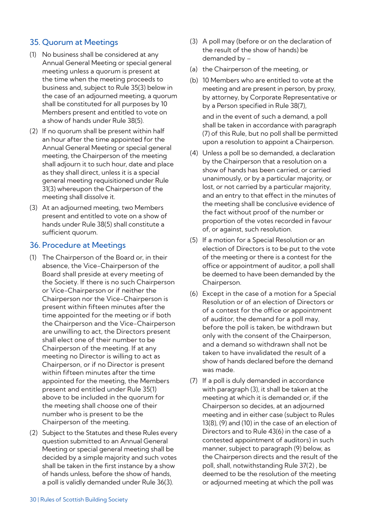# 35. Quorum at Meetings

- (1) No business shall be considered at any Annual General Meeting or special general meeting unless a quorum is present at the time when the meeting proceeds to business and, subject to Rule 35(3) below in the case of an adjourned meeting, a quorum shall be constituted for all purposes by 10 Members present and entitled to vote on a show of hands under Rule 38(5).
- (2) If no quorum shall be present within half an hour after the time appointed for the Annual General Meeting or special general meeting, the Chairperson of the meeting shall adjourn it to such hour, date and place as they shall direct, unless it is a special general meeting requisitioned under Rule 31(3) whereupon the Chairperson of the meeting shall dissolve it.
- (3) At an adjourned meeting, two Members present and entitled to vote on a show of hands under Rule 38(5) shall constitute a sufficient quorum.

# 36. Procedure at Meetings

- (1) The Chairperson of the Board or, in their absence, the Vice-Chairperson of the Board shall preside at every meeting of the Society. If there is no such Chairperson or Vice-Chairperson or if neither the Chairperson nor the Vice-Chairperson is present within fifteen minutes after the time appointed for the meeting or if both the Chairperson and the Vice-Chairperson are unwilling to act, the Directors present shall elect one of their number to be Chairperson of the meeting. If at any meeting no Director is willing to act as Chairperson, or if no Director is present within fifteen minutes after the time appointed for the meeting, the Members present and entitled under Rule 35(1) above to be included in the quorum for the meeting shall choose one of their number who is present to be the Chairperson of the meeting.
- (2) Subject to the Statutes and these Rules every question submitted to an Annual General Meeting or special general meeting shall be decided by a simple majority and such votes shall be taken in the first instance by a show of hands unless, before the show of hands, a poll is validly demanded under Rule 36(3).
- (3) A poll may (before or on the declaration of the result of the show of hands) be demanded by –
- (a) the Chairperson of the meeting, or
- (b) 10 Members who are entitled to vote at the meeting and are present in person, by proxy, by attorney, by Corporate Representative or by a Person specified in Rule 38(7),

and in the event of such a demand, a poll shall be taken in accordance with paragraph (7) of this Rule, but no poll shall be permitted upon a resolution to appoint a Chairperson.

- (4) Unless a poll be so demanded, a declaration by the Chairperson that a resolution on a show of hands has been carried, or carried unanimously, or by a particular majority, or lost, or not carried by a particular majority, and an entry to that effect in the minutes of the meeting shall be conclusive evidence of the fact without proof of the number or proportion of the votes recorded in favour of, or against, such resolution.
- (5) If a motion for a Special Resolution or an election of Directors is to be put to the vote of the meeting or there is a contest for the office or appointment of auditor, a poll shall be deemed to have been demanded by the Chairperson.
- (6) Except in the case of a motion for a Special Resolution or of an election of Directors or of a contest for the office or appointment of auditor, the demand for a poll may, before the poll is taken, be withdrawn but only with the consent of the Chairperson, and a demand so withdrawn shall not be taken to have invalidated the result of a show of hands declared before the demand was made.
- (7) If a poll is duly demanded in accordance with paragraph (3), it shall be taken at the meeting at which it is demanded or, if the Chairperson so decides, at an adjourned meeting and in either case (subject to Rules 13(8), (9) and (10) in the case of an election of Directors and to Rule 43(6) in the case of a contested appointment of auditors) in such manner, subject to paragraph (9) below, as the Chairperson directs and the result of the poll, shall, notwithstanding Rule 37(2) , be deemed to be the resolution of the meeting or adjourned meeting at which the poll was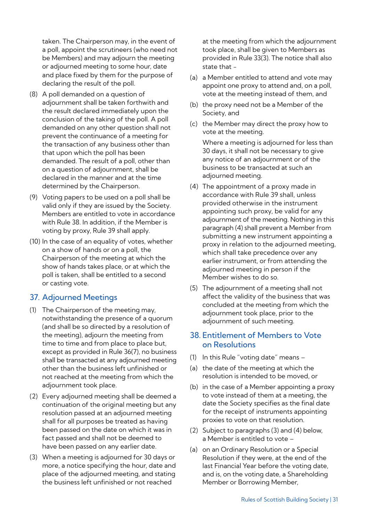taken. The Chairperson may, in the event of a poll, appoint the scrutineers (who need not be Members) and may adjourn the meeting or adjourned meeting to some hour, date and place fixed by them for the purpose of declaring the result of the poll.

- (8) A poll demanded on a question of adjournment shall be taken forthwith and the result declared immediately upon the conclusion of the taking of the poll. A poll demanded on any other question shall not prevent the continuance of a meeting for the transaction of any business other than that upon which the poll has been demanded. The result of a poll, other than on a question of adjournment, shall be declared in the manner and at the time determined by the Chairperson.
- (9) Voting papers to be used on a poll shall be valid only if they are issued by the Society. Members are entitled to vote in accordance with Rule 38. In addition, if the Member is voting by proxy, Rule 39 shall apply.
- (10) In the case of an equality of votes, whether on a show of hands or on a poll, the Chairperson of the meeting at which the show of hands takes place, or at which the poll is taken, shall be entitled to a second or casting vote.

## 37. Adjourned Meetings

- (1) The Chairperson of the meeting may, notwithstanding the presence of a quorum (and shall be so directed by a resolution of the meeting), adjourn the meeting from time to time and from place to place but, except as provided in Rule 36(7), no business shall be transacted at any adjourned meeting other than the business left unfinished or not reached at the meeting from which the adjournment took place.
- (2) Every adjourned meeting shall be deemed a continuation of the original meeting but any resolution passed at an adjourned meeting shall for all purposes be treated as having been passed on the date on which it was in fact passed and shall not be deemed to have been passed on any earlier date.
- (3) When a meeting is adjourned for 30 days or more, a notice specifying the hour, date and place of the adjourned meeting, and stating the business left unfinished or not reached

at the meeting from which the adjournment took place, shall be given to Members as provided in Rule 33(3). The notice shall also state that -

- (a) a Member entitled to attend and vote may appoint one proxy to attend and, on a poll, vote at the meeting instead of them, and
- (b) the proxy need not be a Member of the Society, and
- (c) the Member may direct the proxy how to vote at the meeting.

Where a meeting is adjourned for less than 30 days, it shall not be necessary to give any notice of an adjournment or of the business to be transacted at such an adjourned meeting.

- (4) The appointment of a proxy made in accordance with Rule 39 shall, unless provided otherwise in the instrument appointing such proxy, be valid for any adjournment of the meeting. Nothing in this paragraph (4) shall prevent a Member from submitting a new instrument appointing a proxy in relation to the adjourned meeting, which shall take precedence over any earlier instrument, or from attending the adjourned meeting in person if the Member wishes to do so.
- (5) The adjournment of a meeting shall not affect the validity of the business that was concluded at the meeting from which the adjournment took place, prior to the adjournment of such meeting.

# 38. Entitlement of Members to Vote on Resolutions

- (1) In this Rule "voting date" means –
- (a) the date of the meeting at which the resolution is intended to be moved, or
- (b) in the case of a Member appointing a proxy to vote instead of them at a meeting, the date the Society specifies as the final date for the receipt of instruments appointing proxies to vote on that resolution.
- (2) Subject to paragraphs (3) and (4) below, a Member is entitled to vote –
- (a) on an Ordinary Resolution or a Special Resolution if they were, at the end of the last Financial Year before the voting date, and is, on the voting date, a Shareholding Member or Borrowing Member,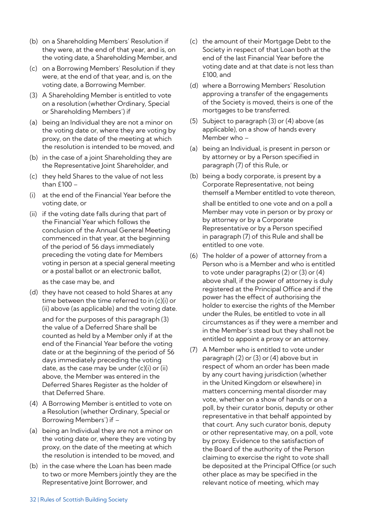- (b) on a Shareholding Members' Resolution if they were, at the end of that year, and is, on the voting date, a Shareholding Member, and
- (c) on a Borrowing Members' Resolution if they were, at the end of that year, and is, on the voting date, a Borrowing Member.
- (3) A Shareholding Member is entitled to vote on a resolution (whether Ordinary, Special or Shareholding Members') if
- (a) being an Individual they are not a minor on the voting date or, where they are voting by proxy, on the date of the meeting at which the resolution is intended to be moved, and
- (b) in the case of a joint Shareholding they are the Representative Joint Shareholder, and
- (c) they held Shares to the value of not less than  $f100 -$
- (i) at the end of the Financial Year before the voting date, or
- (ii) if the voting date falls during that part of the Financial Year which follows the conclusion of the Annual General Meeting commenced in that year, at the beginning of the period of 56 days immediately preceding the voting date for Members voting in person at a special general meeting or a postal ballot or an electronic ballot,

as the case may be, and

(d) they have not ceased to hold Shares at any time between the time referred to in (c)(i) or (ii) above (as applicable) and the voting date.

and for the purposes of this paragraph (3) the value of a Deferred Share shall be counted as held by a Member only if at the end of the Financial Year before the voting date or at the beginning of the period of 56 days immediately preceding the voting date, as the case may be under (c)(i) or (ii) above, the Member was entered in the Deferred Shares Register as the holder of that Deferred Share.

- (4) A Borrowing Member is entitled to vote on a Resolution (whether Ordinary, Special or Borrowing Members') if –
- (a) being an Individual they are not a minor on the voting date or, where they are voting by proxy, on the date of the meeting at which the resolution is intended to be moved, and
- (b) in the case where the Loan has been made to two or more Members jointly they are the Representative Joint Borrower, and
- (c) the amount of their Mortgage Debt to the Society in respect of that Loan both at the end of the last Financial Year before the voting date and at that date is not less than £100, and
- (d) where a Borrowing Members' Resolution approving a transfer of the engagements of the Society is moved, theirs is one of the mortgages to be transferred.
- (5) Subject to paragraph (3) or (4) above (as applicable), on a show of hands every Member who –
- (a) being an Individual, is present in person or by attorney or by a Person specified in paragraph (7) of this Rule, or
- (b) being a body corporate, is present by a Corporate Representative, not being themself a Member entitled to vote thereon,

shall be entitled to one vote and on a poll a Member may vote in person or by proxy or by attorney or by a Corporate Representative or by a Person specified in paragraph (7) of this Rule and shall be entitled to one vote.

- (6) The holder of a power of attorney from a Person who is a Member and who is entitled to vote under paragraphs (2) or (3) or (4) above shall, if the power of attorney is duly registered at the Principal Office and if the power has the effect of authorising the holder to exercise the rights of the Member under the Rules, be entitled to vote in all circumstances as if they were a member and in the Member's stead but they shall not be entitled to appoint a proxy or an attorney.
- (7) A Member who is entitled to vote under paragraph (2) or (3) or (4) above but in respect of whom an order has been made by any court having jurisdiction (whether in the United Kingdom or elsewhere) in matters concerning mental disorder may vote, whether on a show of hands or on a poll, by their curator bonis, deputy or other representative in that behalf appointed by that court. Any such curator bonis, deputy or other representative may, on a poll, vote by proxy. Evidence to the satisfaction of the Board of the authority of the Person claiming to exercise the right to vote shall be deposited at the Principal Office (or such other place as may be specified in the relevant notice of meeting, which may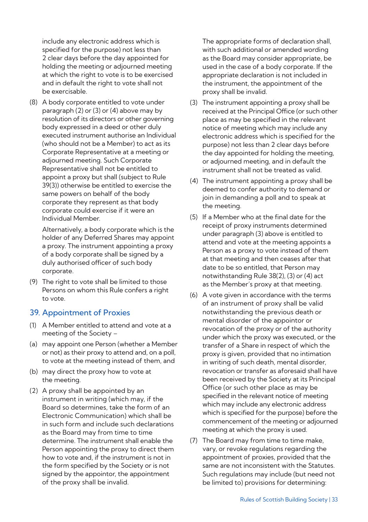include any electronic address which is specified for the purpose) not less than 2 clear days before the day appointed for holding the meeting or adjourned meeting at which the right to vote is to be exercised and in default the right to vote shall not be exercisable.

(8) A body corporate entitled to vote under paragraph (2) or (3) or (4) above may by resolution of its directors or other governing body expressed in a deed or other duly executed instrument authorise an Individual (who should not be a Member) to act as its Corporate Representative at a meeting or adjourned meeting. Such Corporate Representative shall not be entitled to appoint a proxy but shall (subject to Rule 39(3)) otherwise be entitled to exercise the same powers on behalf of the body corporate they represent as that body corporate could exercise if it were an Individual Member.

Alternatively, a body corporate which is the holder of any Deferred Shares may appoint a proxy. The instrument appointing a proxy of a body corporate shall be signed by a duly authorised officer of such body corporate.

(9) The right to vote shall be limited to those Persons on whom this Rule confers a right to vote.

## 39. Appointment of Proxies

- (1) A Member entitled to attend and vote at a meeting of the Society –
- (a) may appoint one Person (whether a Member or not) as their proxy to attend and, on a poll, to vote at the meeting instead of them, and
- (b) may direct the proxy how to vote at the meeting.
- (2) A proxy shall be appointed by an instrument in writing (which may, if the Board so determines, take the form of an Electronic Communication) which shall be in such form and include such declarations as the Board may from time to time determine. The instrument shall enable the Person appointing the proxy to direct them how to vote and, if the instrument is not in the form specified by the Society or is not signed by the appointor, the appointment of the proxy shall be invalid.

The appropriate forms of declaration shall, with such additional or amended wording as the Board may consider appropriate, be used in the case of a body corporate. If the appropriate declaration is not included in the instrument, the appointment of the proxy shall be invalid.

- (3) The instrument appointing a proxy shall be received at the Principal Office (or such other place as may be specified in the relevant notice of meeting which may include any electronic address which is specified for the purpose) not less than 2 clear days before the day appointed for holding the meeting, or adjourned meeting, and in default the instrument shall not be treated as valid.
- (4) The instrument appointing a proxy shall be deemed to confer authority to demand or join in demanding a poll and to speak at the meeting.
- (5) If a Member who at the final date for the receipt of proxy instruments determined under paragraph (3) above is entitled to attend and vote at the meeting appoints a Person as a proxy to vote instead of them at that meeting and then ceases after that date to be so entitled, that Person may notwithstanding Rule 38(2), (3) or (4) act as the Member's proxy at that meeting.
- (6) A vote given in accordance with the terms of an instrument of proxy shall be valid notwithstanding the previous death or mental disorder of the appointor or revocation of the proxy or of the authority under which the proxy was executed, or the transfer of a Share in respect of which the proxy is given, provided that no intimation in writing of such death, mental disorder, revocation or transfer as aforesaid shall have been received by the Society at its Principal Office (or such other place as may be specified in the relevant notice of meeting which may include any electronic address which is specified for the purpose) before the commencement of the meeting or adjourned meeting at which the proxy is used.
- (7) The Board may from time to time make, vary, or revoke regulations regarding the appointment of proxies, provided that the same are not inconsistent with the Statutes. Such regulations may include (but need not be limited to) provisions for determining: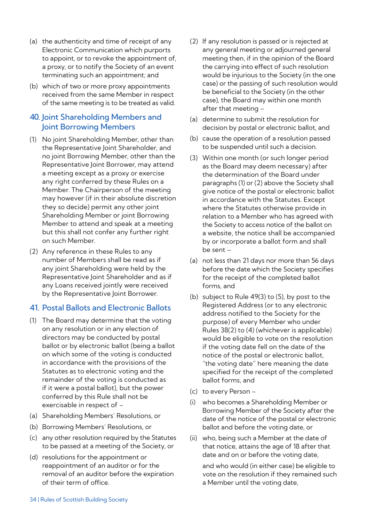- (a) the authenticity and time of receipt of any Electronic Communication which purports to appoint, or to revoke the appointment of, a proxy, or to notify the Society of an event terminating such an appointment; and
- (b) which of two or more proxy appointments received from the same Member in respect of the same meeting is to be treated as valid.

# 40. Joint Shareholding Members and Joint Borrowing Members

- (1) No joint Shareholding Member, other than the Representative Joint Shareholder, and no joint Borrowing Member, other than the Representative Joint Borrower, may attend a meeting except as a proxy or exercise any right conferred by these Rules on a Member. The Chairperson of the meeting may however (if in their absolute discretion they so decide) permit any other joint Shareholding Member or joint Borrowing Member to attend and speak at a meeting but this shall not confer any further right on such Member.
- (2) Any reference in these Rules to any number of Members shall be read as if any joint Shareholding were held by the Representative Joint Shareholder and as if any Loans received jointly were received by the Representative Joint Borrower.

## 41. Postal Ballots and Electronic Ballots

- (1) The Board may determine that the voting on any resolution or in any election of directors may be conducted by postal ballot or by electronic ballot (being a ballot on which some of the voting is conducted in accordance with the provisions of the Statutes as to electronic voting and the remainder of the voting is conducted as if it were a postal ballot), but the power conferred by this Rule shall not be exercisable in respect of –
- (a) Shareholding Members' Resolutions, or
- (b) Borrowing Members' Resolutions, or
- (c) any other resolution required by the Statutes to be passed at a meeting of the Society, or
- (d) resolutions for the appointment or reappointment of an auditor or for the removal of an auditor before the expiration of their term of office.
- (2) If any resolution is passed or is rejected at any general meeting or adjourned general meeting then, if in the opinion of the Board the carrying into effect of such resolution would be injurious to the Society (in the one case) or the passing of such resolution would be beneficial to the Society (in the other case), the Board may within one month after that meeting –
- (a) determine to submit the resolution for decision by postal or electronic ballot, and
- (b) cause the operation of a resolution passed to be suspended until such a decision.
- (3) Within one month (or such longer period as the Board may deem necessary) after the determination of the Board under paragraphs (1) or (2) above the Society shall give notice of the postal or electronic ballot in accordance with the Statutes. Except where the Statutes otherwise provide in relation to a Member who has agreed with the Society to access notice of the ballot on a website, the notice shall be accompanied by or incorporate a ballot form and shall be sent –
- (a) not less than 21 days nor more than 56 days before the date which the Society specifies for the receipt of the completed ballot forms, and
- (b) subject to Rule 49(3) to (5), by post to the Registered Address (or to any electronic address notified to the Society for the purpose) of every Member who under Rules 38(2) to (4) (whichever is applicable) would be eligible to vote on the resolution if the voting date fell on the date of the notice of the postal or electronic ballot, "the voting date" here meaning the date specified for the receipt of the completed ballot forms, and
- (c) to every Person –
- (i) who becomes a Shareholding Member or Borrowing Member of the Society after the date of the notice of the postal or electronic ballot and before the voting date, or
- (ii) who, being such a Member at the date of that notice, attains the age of 18 after that date and on or before the voting date,

and who would (in either case) be eligible to vote on the resolution if they remained such a Member until the voting date,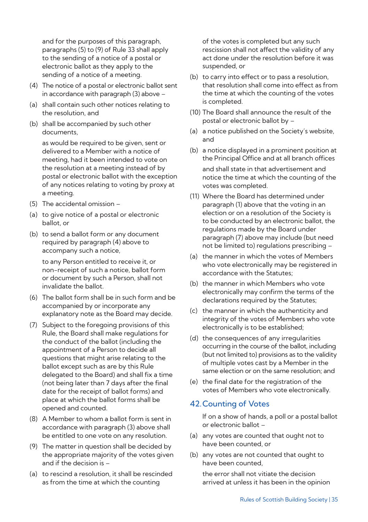and for the purposes of this paragraph, paragraphs (5) to (9) of Rule 33 shall apply to the sending of a notice of a postal or electronic ballot as they apply to the sending of a notice of a meeting.

- (4) The notice of a postal or electronic ballot sent in accordance with paragraph (3) above –
- (a) shall contain such other notices relating to the resolution, and
- (b) shall be accompanied by such other documents,

as would be required to be given, sent or delivered to a Member with a notice of meeting, had it been intended to vote on the resolution at a meeting instead of by postal or electronic ballot with the exception of any notices relating to voting by proxy at a meeting.

- (5) The accidental omission –
- (a) to give notice of a postal or electronic ballot, or
- (b) to send a ballot form or any document required by paragraph (4) above to accompany such a notice,

to any Person entitled to receive it, or non-receipt of such a notice, ballot form or document by such a Person, shall not invalidate the ballot.

- (6) The ballot form shall be in such form and be accompanied by or incorporate any explanatory note as the Board may decide.
- (7) Subject to the foregoing provisions of this Rule, the Board shall make regulations for the conduct of the ballot (including the appointment of a Person to decide all questions that might arise relating to the ballot except such as are by this Rule delegated to the Board) and shall fix a time (not being later than 7 days after the final date for the receipt of ballot forms) and place at which the ballot forms shall be opened and counted.
- (8) A Member to whom a ballot form is sent in accordance with paragraph (3) above shall be entitled to one vote on any resolution.
- (9) The matter in question shall be decided by the appropriate majority of the votes given and if the decision is –
- (a) to rescind a resolution, it shall be rescinded as from the time at which the counting

of the votes is completed but any such rescission shall not affect the validity of any act done under the resolution before it was suspended, or

- (b) to carry into effect or to pass a resolution, that resolution shall come into effect as from the time at which the counting of the votes is completed.
- (10) The Board shall announce the result of the postal or electronic ballot by –
- (a) a notice published on the Society's website, and
- (b) a notice displayed in a prominent position at the Principal Office and at all branch offices and shall state in that advertisement and notice the time at which the counting of the votes was completed.
- (11) Where the Board has determined under paragraph (1) above that the voting in an election or on a resolution of the Society is to be conducted by an electronic ballot, the regulations made by the Board under paragraph (7) above may include (but need not be limited to) regulations prescribing –
- (a) the manner in which the votes of Members who vote electronically may be registered in accordance with the Statutes;
- (b) the manner in which Members who vote electronically may confirm the terms of the declarations required by the Statutes;
- (c) the manner in which the authenticity and integrity of the votes of Members who vote electronically is to be established;
- (d) the consequences of any irregularities occurring in the course of the ballot, including (but not limited to) provisions as to the validity of multiple votes cast by a Member in the same election or on the same resolution; and
- (e) the final date for the registration of the votes of Members who vote electronically.

# 42.Counting of Votes

If on a show of hands, a poll or a postal ballot or electronic ballot –

- (a) any votes are counted that ought not to have been counted, or
- (b) any votes are not counted that ought to have been counted,

the error shall not vitiate the decision arrived at unless it has been in the opinion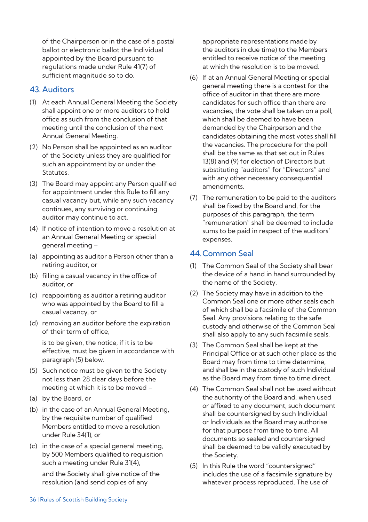of the Chairperson or in the case of a postal ballot or electronic ballot the Individual appointed by the Board pursuant to regulations made under Rule 41(7) of sufficient magnitude so to do.

# 43. Auditors

- (1) At each Annual General Meeting the Society shall appoint one or more auditors to hold office as such from the conclusion of that meeting until the conclusion of the next Annual General Meeting.
- (2) No Person shall be appointed as an auditor of the Society unless they are qualified for such an appointment by or under the **Statutes**
- (3) The Board may appoint any Person qualified for appointment under this Rule to fill any casual vacancy but, while any such vacancy continues, any surviving or continuing auditor may continue to act.
- (4) If notice of intention to move a resolution at an Annual General Meeting or special general meeting –
- (a) appointing as auditor a Person other than a retiring auditor, or
- (b) filling a casual vacancy in the office of auditor, or
- (c) reappointing as auditor a retiring auditor who was appointed by the Board to fill a casual vacancy, or
- (d) removing an auditor before the expiration of their term of office,

is to be given, the notice, if it is to be effective, must be given in accordance with paragraph (5) below.

- (5) Such notice must be given to the Society not less than 28 clear days before the meeting at which it is to be moved –
- (a) by the Board, or
- (b) in the case of an Annual General Meeting, by the requisite number of qualified Members entitled to move a resolution under Rule 34(1), or
- (c) in the case of a special general meeting, by 500 Members qualified to requisition such a meeting under Rule 31(4), and the Society shall give notice of the resolution (and send copies of any

appropriate representations made by the auditors in due time) to the Members entitled to receive notice of the meeting at which the resolution is to be moved.

- (6) If at an Annual General Meeting or special general meeting there is a contest for the office of auditor in that there are more candidates for such office than there are vacancies, the vote shall be taken on a poll, which shall be deemed to have been demanded by the Chairperson and the candidates obtaining the most votes shall fill the vacancies. The procedure for the poll shall be the same as that set out in Rules 13(8) and (9) for election of Directors but substituting "auditors" for "Directors" and with any other necessary consequential amendments.
- (7) The remuneration to be paid to the auditors shall be fixed by the Board and, for the purposes of this paragraph, the term "remuneration" shall be deemed to include sums to be paid in respect of the auditors' expenses.

# 44.Common Seal

- (1) The Common Seal of the Society shall bear the device of a hand in hand surrounded by the name of the Society.
- (2) The Society may have in addition to the Common Seal one or more other seals each of which shall be a facsimile of the Common Seal. Any provisions relating to the safe custody and otherwise of the Common Seal shall also apply to any such facsimile seals.
- (3) The Common Seal shall be kept at the Principal Office or at such other place as the Board may from time to time determine, and shall be in the custody of such Individual as the Board may from time to time direct.
- (4) The Common Seal shall not be used without the authority of the Board and, when used or affixed to any document, such document shall be countersigned by such Individual or Individuals as the Board may authorise for that purpose from time to time. All documents so sealed and countersigned shall be deemed to be validly executed by the Society.
- (5) In this Rule the word "countersigned" includes the use of a facsimile signature by whatever process reproduced. The use of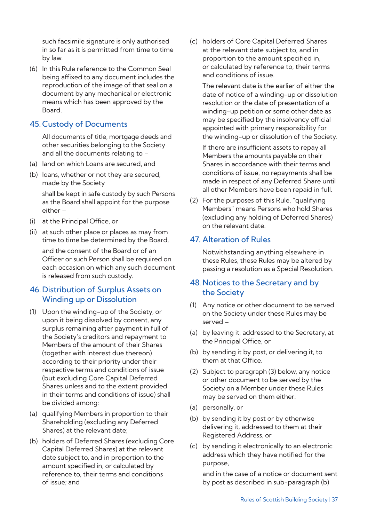such facsimile signature is only authorised in so far as it is permitted from time to time by law.

(6) In this Rule reference to the Common Seal being affixed to any document includes the reproduction of the image of that seal on a document by any mechanical or electronic means which has been approved by the Board.

# 45. Custody of Documents

All documents of title, mortgage deeds and other securities belonging to the Society and all the documents relating to –

- (a) land on which Loans are secured, and
- (b) loans, whether or not they are secured, made by the Society

shall be kept in safe custody by such Persons as the Board shall appoint for the purpose either –

- (i) at the Principal Office, or
- (ii) at such other place or places as may from time to time be determined by the Board,

and the consent of the Board or of an Officer or such Person shall be required on each occasion on which any such document is released from such custody.

# 46. Distribution of Surplus Assets on Winding up or Dissolution

- (1) Upon the winding-up of the Society, or upon it being dissolved by consent, any surplus remaining after payment in full of the Society's creditors and repayment to Members of the amount of their Shares (together with interest due thereon) according to their priority under their respective terms and conditions of issue (but excluding Core Capital Deferred Shares unless and to the extent provided in their terms and conditions of issue) shall be divided among:
- (a) qualifying Members in proportion to their Shareholding (excluding any Deferred Shares) at the relevant date;
- (b) holders of Deferred Shares (excluding Core Capital Deferred Shares) at the relevant date subject to, and in proportion to the amount specified in, or calculated by reference to, their terms and conditions of issue; and

(c) holders of Core Capital Deferred Shares at the relevant date subject to, and in proportion to the amount specified in, or calculated by reference to, their terms and conditions of issue.

The relevant date is the earlier of either the date of notice of a winding-up or dissolution resolution or the date of presentation of a winding-up petition or some other date as may be specified by the insolvency official appointed with primary responsibility for the winding-up or dissolution of the Society.

If there are insufficient assets to repay all Members the amounts payable on their Shares in accordance with their terms and conditions of issue, no repayments shall be made in respect of any Deferred Share until all other Members have been repaid in full.

(2) For the purposes of this Rule, "qualifying Members" means Persons who hold Shares (excluding any holding of Deferred Shares) on the relevant date.

# 47. Alteration of Rules

Notwithstanding anything elsewhere in these Rules, these Rules may be altered by passing a resolution as a Special Resolution.

# 48. Notices to the Secretary and by the Society

- (1) Any notice or other document to be served on the Society under these Rules may be served –
- (a) by leaving it, addressed to the Secretary, at the Principal Office, or
- (b) by sending it by post, or delivering it, to them at that Office.
- (2) Subject to paragraph (3) below, any notice or other document to be served by the Society on a Member under these Rules may be served on them either:
- (a) personally, or
- (b) by sending it by post or by otherwise delivering it, addressed to them at their Registered Address, or
- (c) by sending it electronically to an electronic address which they have notified for the purpose,

and in the case of a notice or document sent by post as described in sub-paragraph (b)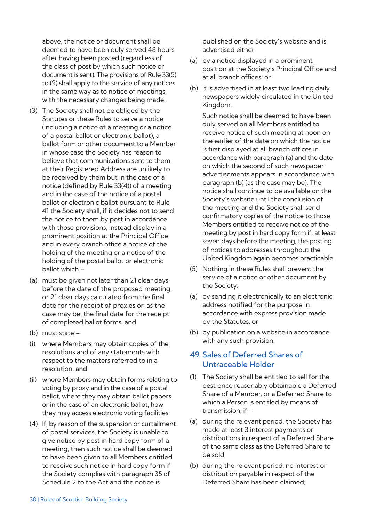above, the notice or document shall be deemed to have been duly served 48 hours after having been posted (regardless of the class of post by which such notice or document is sent). The provisions of Rule 33(5) to (9) shall apply to the service of any notices in the same way as to notice of meetings, with the necessary changes being made.

- (3) The Society shall not be obliged by the Statutes or these Rules to serve a notice (including a notice of a meeting or a notice of a postal ballot or electronic ballot), a ballot form or other document to a Member in whose case the Society has reason to believe that communications sent to them at their Registered Address are unlikely to be received by them but in the case of a notice (defined by Rule 33(4)) of a meeting and in the case of the notice of a postal ballot or electronic ballot pursuant to Rule 41 the Society shall, if it decides not to send the notice to them by post in accordance with those provisions, instead display in a prominent position at the Principal Office and in every branch office a notice of the holding of the meeting or a notice of the holding of the postal ballot or electronic ballot which –
- (a) must be given not later than 21 clear days before the date of the proposed meeting, or 21 clear days calculated from the final date for the receipt of proxies or, as the case may be, the final date for the receipt of completed ballot forms, and
- (b) must state –
- (i) where Members may obtain copies of the resolutions and of any statements with respect to the matters referred to in a resolution, and
- (ii) where Members may obtain forms relating to voting by proxy and in the case of a postal ballot, where they may obtain ballot papers or in the case of an electronic ballot, how they may access electronic voting facilities.
- (4) If, by reason of the suspension or curtailment of postal services, the Society is unable to give notice by post in hard copy form of a meeting, then such notice shall be deemed to have been given to all Members entitled to receive such notice in hard copy form if the Society complies with paragraph 35 of Schedule 2 to the Act and the notice is

published on the Society's website and is advertised either:

- (a) by a notice displayed in a prominent position at the Society's Principal Office and at all branch offices; or
- (b) it is advertised in at least two leading daily newspapers widely circulated in the United Kingdom.

Such notice shall be deemed to have been duly served on all Members entitled to receive notice of such meeting at noon on the earlier of the date on which the notice is first displayed at all branch offices in accordance with paragraph (a) and the date on which the second of such newspaper advertisements appears in accordance with paragraph (b) (as the case may be). The notice shall continue to be available on the Society's website until the conclusion of the meeting and the Society shall send confirmatory copies of the notice to those Members entitled to receive notice of the meeting by post in hard copy form if, at least seven days before the meeting, the posting of notices to addresses throughout the United Kingdom again becomes practicable.

- (5) Nothing in these Rules shall prevent the service of a notice or other document by the Society:
- (a) by sending it electronically to an electronic address notified for the purpose in accordance with express provision made by the Statutes, or
- (b) by publication on a website in accordance with any such provision.

# 49. Sales of Deferred Shares of Untraceable Holder

- (1) The Society shall be entitled to sell for the best price reasonably obtainable a Deferred Share of a Member, or a Deferred Share to which a Person is entitled by means of transmission, if –
- (a) during the relevant period, the Society has made at least 3 interest payments or distributions in respect of a Deferred Share of the same class as the Deferred Share to be sold;
- (b) during the relevant period, no interest or distribution payable in respect of the Deferred Share has been claimed;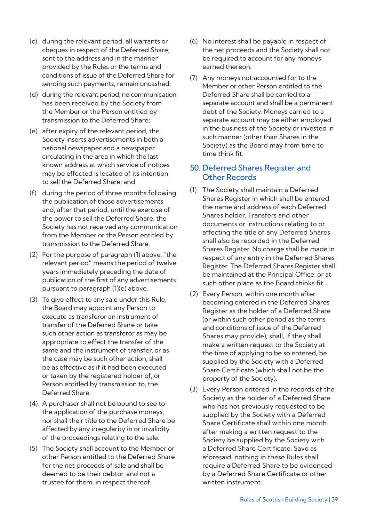- (c) during the relevant period, all warrants or cheques in respect of the Deferred Share, sent to the address and in the manner provided by the Rules or the terms and conditions of issue of the Deferred Share for sending such payments, remain uncashed;
- (d) during the relevant period, no communication has been received by the Society from the Member or the Person entitled by transmission to the Deferred Share;
- (e) after expiry of the relevant period, the Society inserts advertisements in both a national newspaper and a newspaper circulating in the area in which the last known address at which service of notices may be effected is located of its intention to sell the Deferred Share; and
- (f) during the period of three months following the publication of those advertisements and, after that period, until the exercise of the power to sell the Deferred Share, the Society has not received any communication from the Member or the Person entitled by transmission to the Deferred Share.
- (2) For the purpose of paragraph (1) above, "the relevant period" means the period of twelve years immediately preceding the date of publication of the first of any advertisements pursuant to paragraph (1)(e) above.
- (3) To give effect to any sale under this Rule, the Board may appoint any Person to execute as transferor an instrument of transfer of the Deferred Share or take such other action as transferor as may be appropriate to effect the transfer of the same and the instrument of transfer, or as the case may be such other action, shall be as effective as if it had been executed or taken by the registered holder of, or Person entitled by transmission to, the Deferred Share.
- (4) A purchaser shall not be bound to see to the application of the purchase moneys, nor shall their title to the Deferred Share be affected by any irregularity in or invalidity of the proceedings relating to the sale.
- (5) The Society shall account to the Member or other Person entitled to the Deferred Share for the net proceeds of sale and shall be deemed to be their debtor, and not a trustee for them, in respect thereof.
- (6) No interest shall be payable in respect of the net proceeds and the Society shall not be required to account for any moneys earned thereon.
- (7) Any moneys not accounted for to the Member or other Person entitled to the Deferred Share shall be carried to a separate account and shall be a permanent debt of the Society. Moneys carried to a separate account may be either employed in the business of the Society or invested in such manner (other than Shares in the Society) as the Board may from time to time think fit.

# 50. Deferred Shares Register and Other Records

- (1) The Society shall maintain a Deferred Shares Register in which shall be entered the name and address of each Deferred Shares holder. Transfers and other documents or instructions relating to or affecting the title of any Deferred Shares shall also be recorded in the Deferred Shares Register. No charge shall be made in respect of any entry in the Deferred Shares Register. The Deferred Shares Register shall be maintained at the Principal Office, or at such other place as the Board thinks fit.
- (2) Every Person, within one month after becoming entered in the Deferred Shares Register as the holder of a Deferred Share (or within such other period as the terms and conditions of issue of the Deferred Shares may provide), shall, if they shall make a written request to the Society at the time of applying to be so entered, be supplied by the Society with a Deferred Share Certificate (which shall not be the property of the Society).
- (3) Every Person entered in the records of the Society as the holder of a Deferred Share who has not previously requested to be supplied by the Society with a Deferred Share Certificate shall within one month after making a written request to the Society be supplied by the Society with a Deferred Share Certificate. Save as aforesaid, nothing in these Rules shall require a Deferred Share to be evidenced by a Deferred Share Certificate or other written instrument.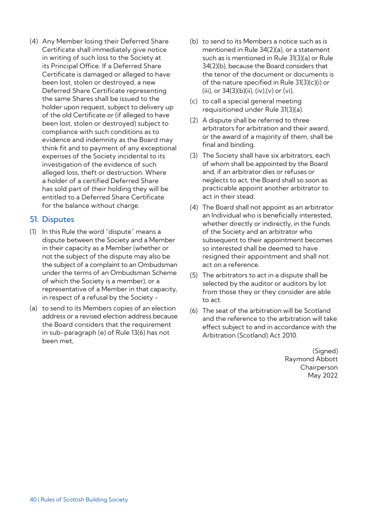(4) Any Member losing their Deferred Share Certificate shall immediately give notice in writing of such loss to the Society at its Principal Office. If a Deferred Share Certificate is damaged or alleged to have been lost, stolen or destroyed, a new Deferred Share Certificate representing the same Shares shall be issued to the holder upon request, subject to delivery up of the old Certificate or (if alleged to have been lost, stolen or destroyed) subject to compliance with such conditions as to evidence and indemnity as the Board may think fit and to payment of any exceptional expenses of the Society incidental to its investigation of the evidence of such alleged loss, theft or destruction. Where a holder of a certified Deferred Share has sold part of their holding they will be entitled to a Deferred Share Certificate for the balance without charge.

# 51. Disputes

- (1) In this Rule the word "dispute" means a dispute between the Society and a Member in their capacity as a Member (whether or not the subject of the dispute may also be the subject of a complaint to an Ombudsman under the terms of an Ombudsman Scheme of which the Society is a member), or a representative of a Member in that capacity, in respect of a refusal by the Society -
- (a) to send to its Members copies of an election address or a revised election address because the Board considers that the requirement in sub-paragraph (e) of Rule 13(6) has not been met,
- (b) to send to its Members a notice such as is mentioned in Rule 34(2)(a), or a statement such as is mentioned in Rule 31(3)(a) or Rule 34(2)(b), because the Board considers that the tenor of the document or documents is of the nature specified in Rule 31(3)(c)(i) or  $(iii)$ , or  $34(3)(b)(ii)$ ,  $(iv)$ ,  $(v)$  or  $(vi)$ ,
- (c) to call a special general meeting requisitioned under Rule 31(3)(a).
- (2) A dispute shall be referred to three arbitrators for arbitration and their award, or the award of a majority of them, shall be final and binding.
- (3) The Society shall have six arbitrators, each of whom shall be appointed by the Board and, if an arbitrator dies or refuses or neglects to act, the Board shall so soon as practicable appoint another arbitrator to act in their stead.
- (4) The Board shall not appoint as an arbitrator an Individual who is beneficially interested, whether directly or indirectly, in the funds of the Society and an arbitrator who subsequent to their appointment becomes so interested shall be deemed to have resigned their appointment and shall not act on a reference.
- (5) The arbitrators to act in a dispute shall be selected by the auditor or auditors by lot from those they or they consider are able to act.
- (6) The seat of the arbitration will be Scotland and the reference to the arbitration will take effect subject to and in accordance with the Arbitration (Scotland) Act 2010.

(Signed) Raymond Abbott Chairperson May 2022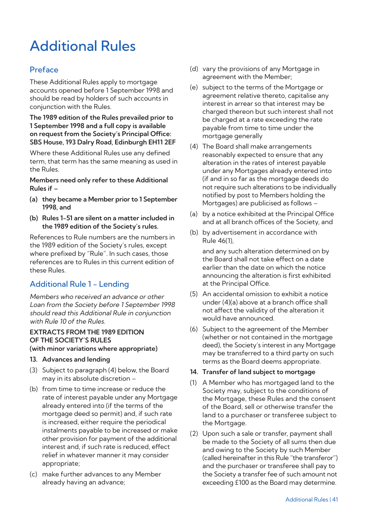# Additional Rules

# Preface

These Additional Rules apply to mortgage accounts opened before 1 September 1998 and should be read by holders of such accounts in conjunction with the Rules.

#### **The 1989 edition of the Rules prevailed prior to 1 September 1998 and a full copy is available on request from the Society's Principal Office: SBS House, 193 Dalry Road, Edinburgh EH11 2EF**

Where these Additional Rules use any defined term, that term has the same meaning as used in the Rules.

**Members need only refer to these Additional Rules if –**

- **(a) they became a Member prior to 1 September 1998, and**
- **(b) Rules 1-51 are silent on a matter included in the 1989 edition of the Society's rules.**

References to Rule numbers are the numbers in the 1989 edition of the Society's rules, except where prefixed by "Rule". In such cases, those references are to Rules in this current edition of these Rules.

# Additional Rule 1 - Lending

Members who received an advance or other Loan from the Society before 1 September 1998 should read this Additional Rule in conjunction with Rule 10 of the Rules.

# **EXTRACTS FROM THE 1989 EDITION OF THE SOCIETY'S RULES**

### **(with minor variations where appropriate)**

- **13. Advances and lending**
- (3) Subject to paragraph (4) below, the Board may in its absolute discretion –
- (b) from time to time increase or reduce the rate of interest payable under any Mortgage already entered into (if the terms of the mortgage deed so permit) and, if such rate is increased, either require the periodical instalments payable to be increased or make other provision for payment of the additional interest and, if such rate is reduced, effect relief in whatever manner it may consider appropriate;
- (c) make further advances to any Member already having an advance;
- (d) vary the provisions of any Mortgage in agreement with the Member;
- (e) subject to the terms of the Mortgage or agreement relative thereto, capitalise any interest in arrear so that interest may be charged thereon but such interest shall not be charged at a rate exceeding the rate payable from time to time under the mortgage generally
- (4) The Board shall make arrangements reasonably expected to ensure that any alteration in the rates of interest payable under any Mortgages already entered into (if and in so far as the mortgage deeds do not require such alterations to be individually notified by post to Members holding the Mortgages) are publicised as follows –
- (a) by a notice exhibited at the Principal Office and at all branch offices of the Society, and
- (b) by advertisement in accordance with Rule 46(1),

and any such alteration determined on by the Board shall not take effect on a date earlier than the date on which the notice announcing the alteration is first exhibited at the Principal Office.

- (5) An accidental omission to exhibit a notice under (4)(a) above at a branch office shall not affect the validity of the alteration it would have announced.
- (6) Subject to the agreement of the Member (whether or not contained in the mortgage deed), the Society's interest in any Mortgage may be transferred to a third party on such terms as the Board deems appropriate.

#### **14. Transfer of land subject to mortgage**

- (1) A Member who has mortgaged land to the Society may, subject to the conditions of the Mortgage, these Rules and the consent of the Board, sell or otherwise transfer the land to a purchaser or transferee subject to the Mortgage.
- (2) Upon such a sale or transfer, payment shall be made to the Society of all sums then due and owing to the Society by such Member (called hereinafter in this Rule "the transferor") and the purchaser or transferee shall pay to the Society a transfer fee of such amount not exceeding £100 as the Board may determine.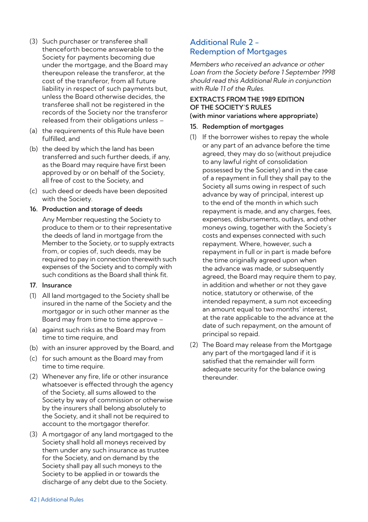- (3) Such purchaser or transferee shall thenceforth become answerable to the Society for payments becoming due under the mortgage, and the Board may thereupon release the transferor, at the cost of the transferor, from all future liability in respect of such payments but, unless the Board otherwise decides, the transferee shall not be registered in the records of the Society nor the transferor released from their obligations unless –
- (a) the requirements of this Rule have been fulfilled, and
- (b) the deed by which the land has been transferred and such further deeds, if any, as the Board may require have first been approved by or on behalf of the Society, all free of cost to the Society, and
- (c) such deed or deeds have been deposited with the Society.

#### **16. Production and storage of deeds**

Any Member requesting the Society to produce to them or to their representative the deeds of land in mortgage from the Member to the Society, or to supply extracts from, or copies of, such deeds, may be required to pay in connection therewith such expenses of the Society and to comply with such conditions as the Board shall think fit.

#### **17. Insurance**

- (1) All land mortgaged to the Society shall be insured in the name of the Society and the mortgagor or in such other manner as the Board may from time to time approve –
- (a) against such risks as the Board may from time to time require, and
- (b) with an insurer approved by the Board, and
- (c) for such amount as the Board may from time to time require.
- (2) Whenever any fire, life or other insurance whatsoever is effected through the agency of the Society, all sums allowed to the Society by way of commission or otherwise by the insurers shall belong absolutely to the Society, and it shall not be required to account to the mortgagor therefor.
- (3) A mortgagor of any land mortgaged to the Society shall hold all moneys received by them under any such insurance as trustee for the Society, and on demand by the Society shall pay all such moneys to the Society to be applied in or towards the discharge of any debt due to the Society.

# Additional Rule 2 - Redemption of Mortgages

Members who received an advance or other Loan from the Society before 1 September 1998 should read this Additional Rule in conjunction with Rule 11 of the Rules.

#### **EXTRACTS FROM THE 1989 EDITION OF THE SOCIETY'S RULES (with minor variations where appropriate)**

# **15. Redemption of mortgages**

- (1) If the borrower wishes to repay the whole or any part of an advance before the time agreed, they may do so (without prejudice to any lawful right of consolidation possessed by the Society) and in the case of a repayment in full they shall pay to the Society all sums owing in respect of such advance by way of principal, interest up to the end of the month in which such repayment is made, and any charges, fees, expenses, disbursements, outlays, and other moneys owing, together with the Society's costs and expenses connected with such repayment. Where, however, such a repayment in full or in part is made before the time originally agreed upon when the advance was made, or subsequently agreed, the Board may require them to pay. in addition and whether or not they gave notice, statutory or otherwise, of the intended repayment, a sum not exceeding an amount equal to two months' interest, at the rate applicable to the advance at the date of such repayment, on the amount of principal so repaid.
- (2) The Board may release from the Mortgage any part of the mortgaged land if it is satisfied that the remainder will form adequate security for the balance owing thereunder.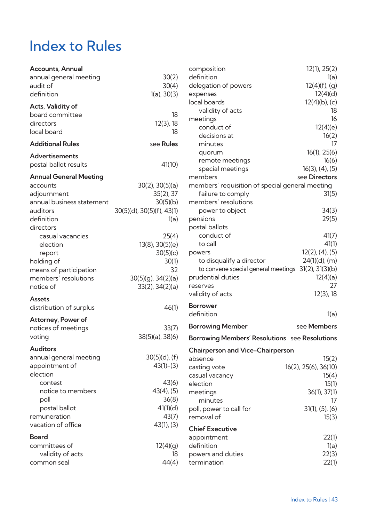# Index to Rules

| <b>Accounts, Annual</b>   |                           | compos           |
|---------------------------|---------------------------|------------------|
| annual general meeting    | 30(2)                     | definitic        |
| audit of                  | 30(4)                     | delegati         |
| definition                | $1(a)$ , $30(3)$          | expense          |
| Acts, Validity of         |                           | local bo         |
| board committee           | 18                        | valid            |
| directors                 | $12(3)$ , 18              | meetinc          |
| local board               | 18                        | conc             |
| <b>Additional Rules</b>   | see Rules                 | decis<br>minu    |
|                           |                           | quor             |
| <b>Advertisements</b>     |                           | remo             |
| postal ballot results     | 41(10)                    | spec             |
| Annual General Meeting    |                           | membe            |
| accounts                  | $30(2)$ , $30(5)(a)$      | membe            |
| adjournment               | 35(2), 37                 | failur           |
| annual business statement | 30(5)(b)                  | membe            |
| auditors                  | 30(5)(d), 30(5)(f), 43(1) | pow              |
| definition                | 1(a)                      | pension          |
| directors                 |                           | postal b         |
| casual vacancies          | 25(4)                     | conc             |
| election                  | 13(8), 30(5)(e)           | to ca            |
| report                    | 30(5)(c)                  | powers           |
| holding of                | 30(1)                     | to di            |
| means of participation    | 32                        | to co            |
| members' resolutions      | $30(5)(q)$ , $34(2)(a)$   | prudent          |
| notice of                 | $33(2)$ , $34(2)(a)$      | reserves         |
| Assets                    |                           | validity         |
| distribution of surplus   | 46(1)                     | <b>Borrowe</b>   |
|                           |                           | definitic        |
| Attorney, Power of        |                           | Borrowi          |
| notices of meetings       | 33(7)                     |                  |
| voting                    | $38(5)(a)$ , $38(6)$      | Borrowi          |
| <b>Auditors</b>           |                           | Chairpe          |
| annual general meeting    | $30(5)(d)$ , (f)          | absence          |
| appointment of            | $43(1)-(3)$               | casting <b>v</b> |
| election                  |                           | casual v         |
| contest                   | 43(6)                     | election         |
| notice to members         | $43(4)$ , $(5)$           | meetinc          |
| poll                      | 36(8)                     | minu             |
| postal ballot             | 41(1)(d)                  | poll, pov        |
| remuneration              | 43(7)                     | removal          |
| vacation of office        | 43(1), (3)                | Chief Ex         |
| Board                     |                           | appoint          |
| committees of             | 12(4)(q)                  | definitic        |
| validity of acts          | 18                        | powers           |
| common seal               | 44(4)                     | termina          |

|               | composition                                         | 12(1), 25(2)            |
|---------------|-----------------------------------------------------|-------------------------|
| 30(2)         | definition                                          | 1(a)                    |
| 30(4)         | delegation of powers                                | $12(4)(f)$ , (g)        |
| , 30(3)       | expenses                                            | 12(4)(d)                |
|               | local boards                                        | 12(4)(b), (c)           |
| 18            | validity of acts                                    | 18                      |
| $2(3)$ , 18   | meetings                                            | 16                      |
| 18            | conduct of                                          | 12(4)(e)                |
|               | decisions at                                        | 16(2)                   |
| <b>Rules</b>  | minutes                                             | 17                      |
|               | quorum                                              | 16(1), 25(6)            |
| 41(10)        | remote meetings                                     | 16(6)                   |
|               | special meetings                                    | $16(3)$ , $(4)$ , $(5)$ |
|               | members                                             | see Directors           |
| 0(5)(a)       | members' requisition of special general meeting     |                         |
| 5(2), 37      | failure to comply                                   | 31(5)                   |
| 0(5)(b)       | members' resolutions                                |                         |
| ), 43(1)      | power to object                                     | 34(3)                   |
| 1(a)          | pensions                                            | 29(5)                   |
|               | postal ballots                                      |                         |
| 25(4)         | conduct of                                          | 41(7)                   |
| 0(5)(e)       | to call                                             | 41(1)                   |
| 0(5)(c)       | powers                                              | $12(2)$ , $(4)$ , $(5)$ |
| 30(1)         | to disqualify a director                            | $24(1)(d)$ , (m)        |
| 32            | to convene special general meetings 31(2), 31(3)(b) |                         |
| 4(2)(a)       | prudential duties                                   | 12(4)(a)                |
| 4(2)(a)       | reserves                                            | 27                      |
|               | validity of acts                                    | 12(3), 18               |
| 46(1)         | <b>Borrower</b>                                     |                         |
|               | definition                                          | 1(a)                    |
| 33(7)         | <b>Borrowing Member</b>                             | see Members             |
| ), 38(6)      | Borrowing Members' Resolutions see Resolutions      |                         |
|               | Chairperson and Vice-Chairperson                    |                         |
| )(d), (f)     | absence                                             | 15(2)                   |
| $3(1)-(3)$    | casting vote                                        | 16(2), 25(6), 36(10)    |
|               | casual vacancy                                      | 15(4)                   |
| 43(6)         | election                                            | 15(1)                   |
| $(4)$ , $(5)$ | meetings                                            | 36(1), 37(1)            |
| 36(8)         | minutes                                             | 17                      |
| 41(1)(d)      | poll, power to call for                             | $31(1)$ , $(5)$ , $(6)$ |
| 43(7)         | removal of                                          | 15(3)                   |
| 3(1), (3)     |                                                     |                         |
|               | <b>Chief Executive</b>                              |                         |
|               | appointment                                         | 22(1)                   |
| 2(4)(g)       | definition                                          | 1(a)                    |
| 18            | powers and duties                                   | 22(3)                   |
| 44(4)         | termination                                         | 22(1)                   |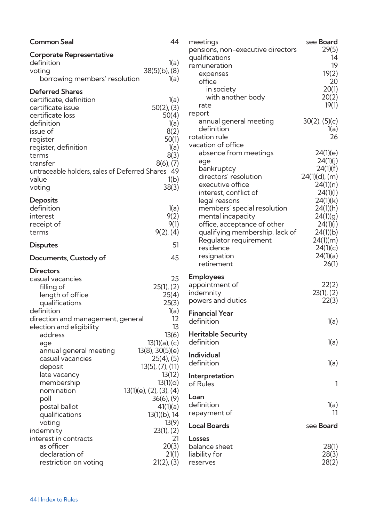| 44<br><b>Common Seal</b>                                                                                                                                                                                                                                                                                                                                                                                                                                                                                                                                                                                 | r                                                                                       |
|----------------------------------------------------------------------------------------------------------------------------------------------------------------------------------------------------------------------------------------------------------------------------------------------------------------------------------------------------------------------------------------------------------------------------------------------------------------------------------------------------------------------------------------------------------------------------------------------------------|-----------------------------------------------------------------------------------------|
| Corporate Representative<br>definition<br>1(a)<br>$38(5)(b)$ , (8)<br>voting<br>borrowing members' resolution<br>1(a)                                                                                                                                                                                                                                                                                                                                                                                                                                                                                    |                                                                                         |
| Deferred Shares<br>certificate, definition<br>1(a)<br>$50(2)$ , (3)<br>certificate issue<br>certificate loss<br>50(4)<br>definition<br>1(a)<br>issue of<br>8(2)<br>50(1)<br>register<br>register, definition<br>1(a)<br>8(3)<br>terms<br>transfer<br>$8(6)$ , $(7)$<br>untraceable holders, sales of Deferred Shares 49<br>1(b)<br>value<br>voting<br>38(3)                                                                                                                                                                                                                                              | r                                                                                       |
| Deposits<br>definition<br>1(a)<br>9(2)<br>interest<br>9(1)<br>receipt of<br>$9(2)$ , (4)<br>terms<br>51<br><b>Disputes</b>                                                                                                                                                                                                                                                                                                                                                                                                                                                                               |                                                                                         |
| 45<br>Documents, Custody of                                                                                                                                                                                                                                                                                                                                                                                                                                                                                                                                                                              |                                                                                         |
| <b>Directors</b><br>25<br>casual vacancies<br>$25(1)$ , $(2)$<br>filling of<br>25(4)<br>length of office<br>25(3)<br>qualifications<br>definition<br>1(a)<br>12<br>direction and management, general<br>13<br>election and eligibility<br>address<br>13(6)<br>$13(1)(a)$ , (c)<br>aqe<br>13(8), 30(5)(e)<br>annual general meeting<br>casual vacancies<br>25(4), (5)<br>13(5), (7), (11)<br>deposit<br>13(12)<br>late vacancy<br>membership<br>13(1)(d)<br>nomination<br>13(1)(e), (2), (3), (4)<br>36(6), (9)<br>poll<br>41(1)(a)<br>postal ballot<br>13(1)(b), 14<br>qualifications<br>voting<br>13(9) | E<br>ā<br>Ù<br>ŗ<br>F<br>C<br>ŀ<br>C<br>ı<br>C<br>ı<br>$\mathsf{C}$<br>L<br>C<br>r<br>L |
| indemnity<br>$23(1)$ , $(2)$<br>interest in contracts<br>21<br>as officer<br>20(3)<br>declaration of<br>21(1)<br>$21(2)$ , (3)<br>restriction on voting                                                                                                                                                                                                                                                                                                                                                                                                                                                  | ι<br>ł<br>ľ<br>r                                                                        |

| meetings<br>pensions, non-executive directors<br>qualifications<br>remuneration<br>expenses<br>office<br>in society<br>with another body<br>rate<br>report                                                                                                                                                                                      | see Board<br>29(5)<br>14<br>19<br>19(2)<br>20<br>20(1)<br>20(2)<br>19(1)                                                                                                           |
|-------------------------------------------------------------------------------------------------------------------------------------------------------------------------------------------------------------------------------------------------------------------------------------------------------------------------------------------------|------------------------------------------------------------------------------------------------------------------------------------------------------------------------------------|
| annual general meeting<br>definition<br>rotation rule                                                                                                                                                                                                                                                                                           | $30(2)$ , $(5)(c)$<br>1(a)<br>26                                                                                                                                                   |
| vacation of office<br>absence from meetings<br>aqe<br>bankruptcy<br>directors' resolution<br>executive office<br>interest, conflict of<br>legal reasons<br>members' special resolution<br>mental incapacity<br>office, acceptance of other<br>qualifying membership, lack of<br>Regulator requirement<br>residence<br>resignation<br>retirement | 24(1)(e)<br>24(1)(j)<br>24(1)(f)<br>24(1)(d), (m)<br>24(1)(n)<br>24(1)(l)<br>24(1)(k)<br>24(1)(h)<br>24(1)(g)<br>24(1)(i)<br>24(1)(b)<br>24(1)(m)<br>24(1)(c)<br>24(1)(a)<br>26(1) |
| <b>Employees</b><br>appointment of<br>indemnity<br>powers and duties                                                                                                                                                                                                                                                                            | 22(2)<br>$23(1)$ , $(2)$<br>22(3)                                                                                                                                                  |
| Financial Year<br>definition                                                                                                                                                                                                                                                                                                                    | 1(a)                                                                                                                                                                               |
| Heritable Security<br>definition                                                                                                                                                                                                                                                                                                                | 1(a)                                                                                                                                                                               |
| Individual<br>definition                                                                                                                                                                                                                                                                                                                        | 1(a)                                                                                                                                                                               |
| Interpretation<br>of Rules                                                                                                                                                                                                                                                                                                                      | 1                                                                                                                                                                                  |
| Loan<br>definition<br>repayment of                                                                                                                                                                                                                                                                                                              | 1(a)<br>11                                                                                                                                                                         |
| Local Boards                                                                                                                                                                                                                                                                                                                                    | see <b>Board</b>                                                                                                                                                                   |
| Losses<br>balance sheet<br>liability for<br>reserves                                                                                                                                                                                                                                                                                            | 28(1)<br>28(3)<br>28(2)                                                                                                                                                            |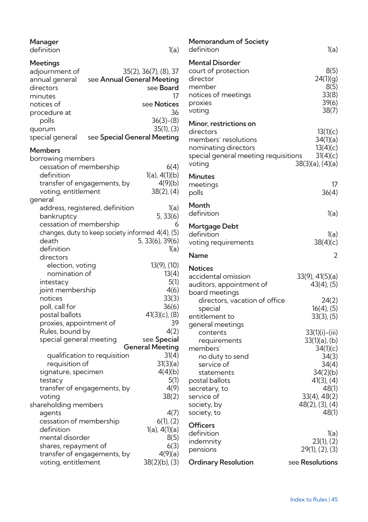| Manager<br>definition                                                              | 1(a)                                                                                  |
|------------------------------------------------------------------------------------|---------------------------------------------------------------------------------------|
| Meetings<br>adjournment of<br>annual general<br>directors<br>minutes<br>notices of | 35(2), 36(7), (8), 37<br>see Annual General Meeting<br>see Board<br>17<br>see Notices |
| procedure at<br>polls<br>quorum                                                    | 36<br>$36(3)-(8)$<br>$35(1)$ , $(3)$                                                  |
| special general                                                                    | see Special General Meeting                                                           |
| <b>Members</b><br>borrowing members                                                |                                                                                       |
| cessation of membership                                                            | 6(4)                                                                                  |
| definition                                                                         | $1(a)$ , $4(1)(b)$                                                                    |
| transfer of engagements, by                                                        | 4(9)(b)                                                                               |
| voting, entitlement                                                                | $38(2)$ , (4)                                                                         |
| general                                                                            |                                                                                       |
| address, registered, definition                                                    | 1(a)                                                                                  |
| bankruptcy                                                                         | 5, 33(6)                                                                              |
| cessation of membership                                                            | 6                                                                                     |
| changes, duty to keep society informed 4(4), (5)                                   |                                                                                       |
| death                                                                              | 5, 33(6), 39(6)                                                                       |
| definition                                                                         | 1(a)                                                                                  |
| directors                                                                          |                                                                                       |
| election, voting                                                                   | 13(9), (10)                                                                           |
| nomination of                                                                      | 13(4)                                                                                 |
| intestacy                                                                          | 5(1)                                                                                  |
| joint membership                                                                   | 4(6)                                                                                  |
| notices                                                                            | 33(3)                                                                                 |
| poll, call for                                                                     | 36(6)                                                                                 |
| postal ballots                                                                     | $41(3)(c)$ , $(8)$                                                                    |
| proxies, appointment of                                                            | 39                                                                                    |
| Rules, bound by                                                                    | 4(2)                                                                                  |
| special general meeting                                                            | see Special<br><b>General Meeting</b>                                                 |
| qualification to requisition                                                       | 31(4)                                                                                 |
| requisition of                                                                     | 31(3)(a)                                                                              |
| signature, specimen                                                                | 4(4)(b)                                                                               |
| testacy                                                                            | 5(1)                                                                                  |
| transfer of engagements, by                                                        | 4(9)                                                                                  |
| voting                                                                             | 38(2)                                                                                 |
| shareholding members                                                               |                                                                                       |
| agents                                                                             | 4(7)                                                                                  |
| cessation of membership                                                            | $6(1)$ , $(2)$                                                                        |
| definition                                                                         | 1(a), 4(1)(a)                                                                         |
| mental disorder                                                                    | 8(5)                                                                                  |
| shares, repayment of                                                               | 6(3)                                                                                  |
| transfer of engagements, by                                                        | 4(9)(a)                                                                               |
| voting, entitlement                                                                | 38(2)(b), (3)                                                                         |

| Memorandum of Society<br>definition                                                                                                                                                    | 1(a)                                                                                                                                                     |
|----------------------------------------------------------------------------------------------------------------------------------------------------------------------------------------|----------------------------------------------------------------------------------------------------------------------------------------------------------|
| <b>Mental Disorder</b><br>court of protection<br>director<br>member<br>notices of meetings<br>proxies<br>voting                                                                        | 8(5)<br>24(1)(g)<br>8(5)<br>33(8)<br>39(6)<br>38(7)                                                                                                      |
| Minor, restrictions on<br>directors<br>members' resolutions<br>nominating directors<br>special general meeting requisitions<br>voting                                                  | 13(1)(c)<br>34(1)(a)<br>13(4)(c)<br>31(4)(c)<br>38(3)(a), (4)(a)                                                                                         |
| <b>Minutes</b><br>meetings<br>polls                                                                                                                                                    | 17<br>36(4)                                                                                                                                              |
| Month<br>definition                                                                                                                                                                    | 1(a)                                                                                                                                                     |
| Mortgage Debt<br>definition<br>voting requirements                                                                                                                                     | 1(a)<br>38(4)(c)                                                                                                                                         |
| Name                                                                                                                                                                                   | 2                                                                                                                                                        |
| <b>Notices</b><br>accidental omission<br>auditors, appointment of<br>board meetings<br>directors, vacation of office<br>special<br>entitlement to                                      | 33(9), 41(5)(a)<br>$43(4)$ , $(5)$<br>24(2)<br>$16(4)$ , $(5)$<br>$33(3)$ , $(5)$                                                                        |
| general meetings<br>contents<br>requirements<br>members'<br>no duty to send<br>service of<br>statements<br>postal ballots<br>secretary, to<br>service of<br>society, by<br>society, to | $33(1)(i) - (iii)$<br>33(1)(a), (b)<br>34(1)(c)<br>34(3)<br>34(4)<br>34(2)(b)<br>$41(3)$ , $(4)$<br>48(1)<br>33(4), 48(2)<br>$48(2)$ , (3), (4)<br>48(1) |
| <b>Officers</b><br>definition<br>indemnity<br>pensions                                                                                                                                 | 1(a)<br>23(1), (2)<br>29(1), (2), (3)                                                                                                                    |
| Ordinary Resolution                                                                                                                                                                    | see Resolutions                                                                                                                                          |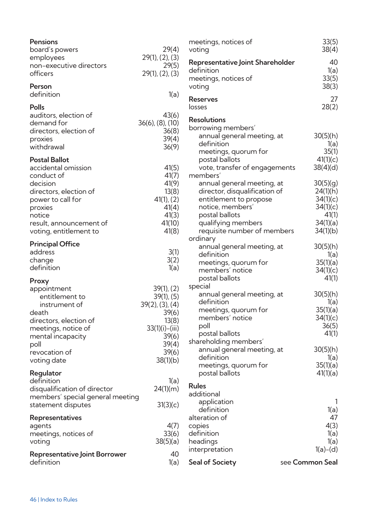| Pensions<br>board's powers<br>employees<br>non-executive directors<br>officers                                                                                                                 | 29(4)<br>29(1), (2), (3)<br>29(5)<br>29(1), (2), (3)                                                                            | r<br>٧<br>F<br>C<br>r |
|------------------------------------------------------------------------------------------------------------------------------------------------------------------------------------------------|---------------------------------------------------------------------------------------------------------------------------------|-----------------------|
| Person<br>definition                                                                                                                                                                           | 1(a)                                                                                                                            | F                     |
| Polls<br>auditors, election of<br>demand for<br>directors, election of<br>proxies<br>withdrawal                                                                                                | 43(6)<br>36(6), (8), (10)<br>36(8)<br>39(4)<br>36(9)                                                                            | k<br>F<br>Ł           |
| <b>Postal Ballot</b><br>accidental omission<br>conduct of<br>decision<br>directors, election of<br>power to call for<br>proxies<br>notice<br>result, announcement of<br>voting, entitlement to | 41(5)<br>41(7)<br>41(9)<br>13(8)<br>$41(1)$ , (2)<br>41(4)<br>41(3)<br>41(10)<br>41(8)                                          | r                     |
| <b>Principal Office</b><br>address<br>change<br>definition                                                                                                                                     | 3(1)<br>3(2)<br>1(a)                                                                                                            | C                     |
| Proxy<br>appointment<br>entitlement to<br>instrument of<br>death<br>directors, election of<br>meetings, notice of<br>mental incapacity<br>poll<br>revocation of<br>voting date                 | 39(1), (2)<br>$39(1)$ , $(5)$<br>39(2), (3), (4)<br>39(6)<br>13(8)<br>$33(1)(i) - (iii)$<br>39(6)<br>39(4)<br>39(6)<br>38(1)(b) | S<br>S                |
| Regulator<br>definition<br>disqualification of director<br>members' special general meeting<br>statement disputes                                                                              | 1(a)<br>24(1)(m)<br>31(3)(c)                                                                                                    | F<br>a                |
| Representatives<br>agents<br>meetings, notices of<br>voting                                                                                                                                    | 4(7)<br>33(6)<br>38(5)(a)                                                                                                       | a<br>C<br>C<br>ŀ      |
| <b>Representative Joint Borrower</b><br>definition                                                                                                                                             | 40<br>1(a)                                                                                                                      | ÌI<br>S               |

| meetings, notices of<br>voting                                                                                                                                                                                                          | 33(5)<br>38(4)                                                                                         |
|-----------------------------------------------------------------------------------------------------------------------------------------------------------------------------------------------------------------------------------------|--------------------------------------------------------------------------------------------------------|
| Representative Joint Shareholder<br>definition<br>meetings, notices of<br>voting                                                                                                                                                        | 40<br>1(a)<br>33(5)<br>38(3)                                                                           |
| Reserves<br>losses                                                                                                                                                                                                                      | 27<br>28(2)                                                                                            |
| <b>Resolutions</b><br>borrowing members'<br>annual general meeting, at<br>definition<br>meetings, quorum for<br>postal ballots<br>vote, transfer of engagements                                                                         | 30(5)(h)<br>1(a)<br>35(1)<br>41(1)(c)<br>38(4)(d)                                                      |
| members'<br>annual general meeting, at<br>director, disqualification of<br>entitlement to propose<br>notice, members'<br>postal ballots<br>qualifying members<br>requisite number of members                                            | 30(5)(g)<br>24(1)(h)<br>34(1)(c)<br>34(1)(c)<br>41(1)<br>34(1)(a)<br>34(1)(b)                          |
| ordinary<br>annual general meeting, at<br>definition<br>meetings, quorum for<br>members' notice<br>postal ballots                                                                                                                       | 30(5)(h)<br>1(a)<br>35(1)(a)<br>34(1)(c)<br>41(1)                                                      |
| special<br>annual general meeting, at<br>definition<br>meetings, quorum for<br>members' notice<br>poll<br>postal ballots<br>shareholding members'<br>annual general meeting, at<br>definition<br>meetings, quorum for<br>postal ballots | 30(5)(h)<br>1(a)<br>35(1)(a)<br>34(1)(c)<br>36(5)<br>41(1)<br>30(5)(h)<br>1(a)<br>35(1)(a)<br>41(1)(a) |
| Rules<br>additional<br>application<br>definition<br>alteration of<br>copies<br>definition<br>headings<br>interpretation                                                                                                                 | 1(a)<br>47<br>4(3)<br>1(a)<br>1(a)<br>$1(a)-(d)$                                                       |
| Seal of Society                                                                                                                                                                                                                         | see Common Seal                                                                                        |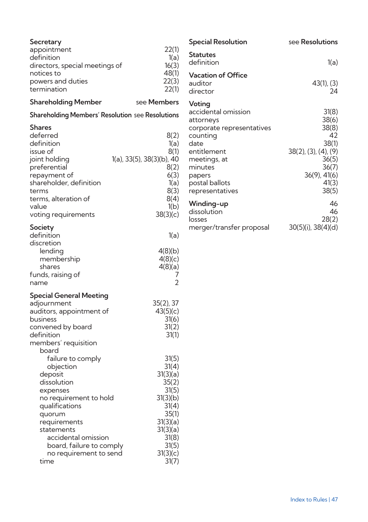| Secretary                                        |                           |
|--------------------------------------------------|---------------------------|
| appointment                                      | 22(1)                     |
| definition                                       | 1(a)                      |
| directors, special meetings of                   | 16(3)                     |
| notices to                                       | 48(1)                     |
| powers and duties                                | 22(3)                     |
| termination                                      | 22(1)                     |
| <b>Shareholding Member</b>                       | see Members               |
| Shareholding Members' Resolution see Resolutions |                           |
| Shares                                           |                           |
| deferred                                         | 8(2)                      |
| definition                                       | 1(a)                      |
| issue of                                         | 8(1)                      |
| joint holding                                    | 1(a), 33(5), 38(3)(b), 40 |
| preferential                                     | 8(2)<br>6(3)              |
| repayment of<br>shareholder, definition          | 1(a)                      |
| terms                                            | 8(3)                      |
| terms, alteration of                             | 8(4)                      |
| value                                            | 1(b)                      |
| voting requirements                              | 38(3)(c)                  |
| Society                                          |                           |
| definition                                       | 1(a)                      |
| discretion                                       |                           |
| lending                                          | 4(8)(b)                   |
| membership                                       | 4(8)(c)                   |
| shares                                           | 4(8)(a)                   |
| funds, raising of<br>name                        | 7<br>$\overline{2}$       |
|                                                  |                           |
| <b>Special General Meeting</b>                   |                           |
| adjournment                                      | $35(2)$ , 37              |
| auditors, appointment of<br>business             | 43(5)(c)<br>31(6)         |
| convened by board                                | 31(2)                     |
| definition                                       | 31(1)                     |
| members' requisition                             |                           |
| board                                            |                           |
| failure to comply                                | 31(5)                     |
| objection                                        | 31(4)                     |
| deposit                                          | 31(3)(a)                  |
| dissolution                                      | 35(2)                     |
| expenses                                         | 31(5)                     |
| no requirement to hold                           | 31(3)(b)                  |
| qualifications                                   | 31(4)                     |
| quorum                                           | 35(1)                     |
| requirements<br>statements                       | 31(3)(a)<br>31(3)(a)      |
| accidental omission                              | 31(8)                     |
| board, failure to comply                         | 31(5)                     |
| no requirement to send                           | 31(3)(c)                  |
| time                                             | 31(7)                     |

| <b>Special Resolution</b>                                                                                                                                                            | see Resolutions                                                                                                            |
|--------------------------------------------------------------------------------------------------------------------------------------------------------------------------------------|----------------------------------------------------------------------------------------------------------------------------|
| <b>Statutes</b><br>definition                                                                                                                                                        | 1(a)                                                                                                                       |
| <b>Vacation of Office</b><br>auditor<br>director                                                                                                                                     | 43(1), (3)<br>24                                                                                                           |
| Voting<br>accidental omission<br>attorneys<br>corporate representatives<br>counting<br>date<br>entitlement<br>meetings, at<br>minutes<br>papers<br>postal ballots<br>representatives | 31(8)<br>38(6)<br>38(8)<br>42<br>38(1)<br>$38(2)$ , (3), (4), (9)<br>36(5)<br>36(7)<br>$36(9)$ , $41(6)$<br>41(3)<br>38(5) |
| Winding-up<br>dissolution<br>losses<br>merger/transfer proposal                                                                                                                      | 46<br>46<br>28(2)<br>30(5)(i), 38(4)(d)                                                                                    |